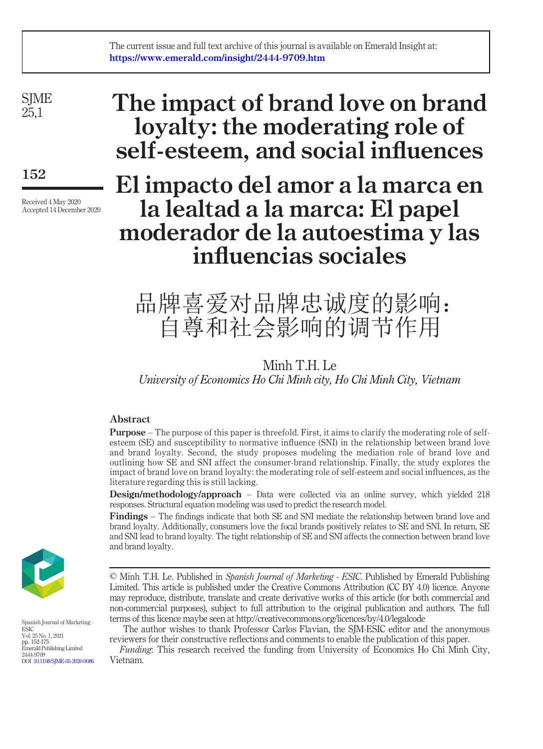**SIME** 25,1

152

Received 4 May 2020 Accepted 14 December 2020

# The impact of brand love on brand loyalty: the moderating role of self-esteem, and social influences

# El impacto del amor a la marca en la lealtad a la marca: El papel moderador de la autoestima y las influencias sociales

# 品牌喜爱对品牌忠诚度的影响: 自尊和社会影响的调节作用

# Minh T.H. Le University of Economics Ho Chi Minh city, Ho Chi Minh City, Vietnam

# Abstract

Purpose – The purpose of this paper is threefold. First, it aims to clarify the moderating role of selfesteem (SE) and susceptibility to normative influence (SNI) in the relationship between brand love and brand loyalty. Second, the study proposes modeling the mediation role of brand love and outlining how SE and SNI affect the consumer-brand relationship. Finally, the study explores the impact of brand love on brand loyalty: the moderating role of self-esteem and social influences, as the literature regarding this is still lacking.

Design/methodology/approach – Data were collected via an online survey, which yielded 218 responses. Structural equation modeling was used to predict the research model.

Findings – The findings indicate that both SE and SNI mediate the relationship between brand love and brand loyalty. Additionally, consumers love the focal brands positively relates to SE and SNI. In return, SE and SNI lead to brand loyalty. The tight relationship of SE and SNI affects the connection between brand love and brand loyalty.



Spanish Journal of Marketing - ESIC Vol. 25 No. 1, 2021 pp. 152-175 Emerald Publishing Limited 2444-9709 DOI [10.1108/SJME-05-2020-0086](http://dx.doi.org/10.1108/SJME-05-2020-0086)

The author wishes to thank Professor Carlos Flavian, the SJM-ESIC editor and the anonymous reviewers for their constructive reflections and comments to enable the publication of this paper.

Funding: This research received the funding from University of Economics Ho Chi Minh City, Vietnam.

<sup>©</sup> Minh T.H. Le. Published in Spanish Journal of Marketing - ESIC. Published by Emerald Publishing Limited. This article is published under the Creative Commons Attribution (CC BY 4.0) licence. Anyone may reproduce, distribute, translate and create derivative works of this article (for both commercial and non-commercial purposes), subject to full attribution to the original publication and authors. The full terms of this licence maybe seen at http://creativecommons.org/licences/by/4.0/legalcode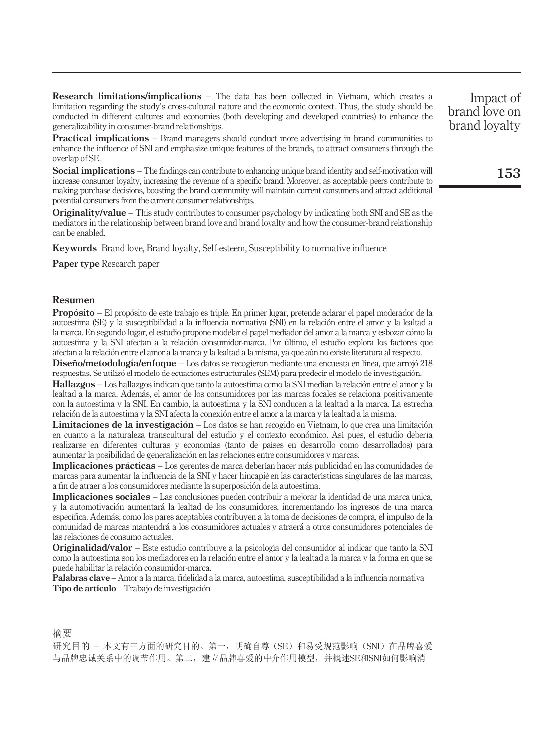Research limitations/implications – The data has been collected in Vietnam, which creates a limitation regarding the study's cross-cultural nature and the economic context. Thus, the study should be conducted in different cultures and economies (both developing and developed countries) to enhance the generalizability in consumer-brand relationships.

**Practical implications** – Brand managers should conduct more advertising in brand communities to enhance the influence of SNI and emphasize unique features of the brands, to attract consumers through the overlap of SE.

Social implications – The findings can contribute to enhancing unique brand identity and self-motivation will increase consumer loyalty, increasing the revenue of a specific brand. Moreover, as acceptable peers contribute to making purchase decisions, boosting the brand community will maintain current consumers and attract additional potential consumers from the current consumer relationships.

Originality/value – This study contributes to consumer psychology by indicating both SNI and SE as the mediators in the relationship between brand love and brand loyalty and how the consumer-brand relationship can be enabled.

Keywords Brand love, Brand loyalty, Self-esteem, Susceptibility to normative influence

Paper type Research paper

#### Resumen

Propósito - El propósito de este trabajo es triple. En primer lugar, pretende aclarar el papel moderador de la autoestima (SE) y la susceptibilidad a la influencia normativa (SNI) en la relacion entre el amor y la lealtad a la marca. En segundo lugar, el estudio propone modelar el papel mediador del amor a la marca y esbozar como la autoestima y la SNI afectan a la relacion consumidor-marca. Por último, el estudio explora los factores que afectan a la relacion entre el amor a la marca y la lealtad a la misma, ya que aún no existe literatura al respecto.

Diseño/metodología/enfoque – Los datos se recogieron mediante una encuesta en línea, que arrojó 218 respuestas. Se utilizo el modelo de ecuaciones estructurales (SEM) para predecir el modelo de investigacion.

Hallazgos – Los hallazgos indican que tanto la autoestima como la SNI median la relacion entre el amor y la lealtad a la marca. Ademas, el amor de los consumidores por las marcas focales se relaciona positivamente con la autoestima y la SNI. En cambio, la autoestima y la SNI conducen a la lealtad a la marca. La estrecha relacion de la autoestima y la SNI afecta la conexion entre el amor a la marca y la lealtad a la misma.

Limitaciones de la investigación – Los datos se han recogido en Vietnam, lo que crea una limitación en cuanto a la naturaleza transcultural del estudio y el contexto economico. Así pues, el estudio debería realizarse en diferentes culturas y economías (tanto de países en desarrollo como desarrollados) para aumentar la posibilidad de generalizacion en las relaciones entre consumidores y marcas.

Implicaciones prácticas - Los gerentes de marca deberían hacer más publicidad en las comunidades de marcas para aumentar la influencia de la SNI y hacer hincapié en las características singulares de las marcas, a fin de atraer a los consumidores mediante la superposicion de la autoestima.

Implicaciones sociales – Las conclusiones pueden contribuir a mejorar la identidad de una marca única, y la automotivacion aumentara la lealtad de los consumidores, incrementando los ingresos de una marca específica. Ademas, como los pares aceptables contribuyen a la toma de decisiones de compra, el impulso de la comunidad de marcas mantendra a los consumidores actuales y atraera a otros consumidores potenciales de las relaciones de consumo actuales.

Originalidad/valor – Este estudio contribuye a la psicología del consumidor al indicar que tanto la SNI como la autoestima son los mediadores en la relacion entre el amor y la lealtad a la marca y la forma en que se puede habilitar la relación consumidor-marca.

Palabras clave – Amor a la marca, fidelidad a la marca, autoestima, susceptibilidad a la influencia normativa Tipo de artículo – Trabajo de investigacion

摘要

研究目的 - 本文有三方面的研究目的。第一, 明确自尊(SE)和易受规范影响(SNI)在品牌喜爱 与品牌忠诚关系中的调节作用。第二,建立品牌喜爱的中介作用模型,并概述SE和SNI如何影响消

Impact of brand love on brand loyalty

153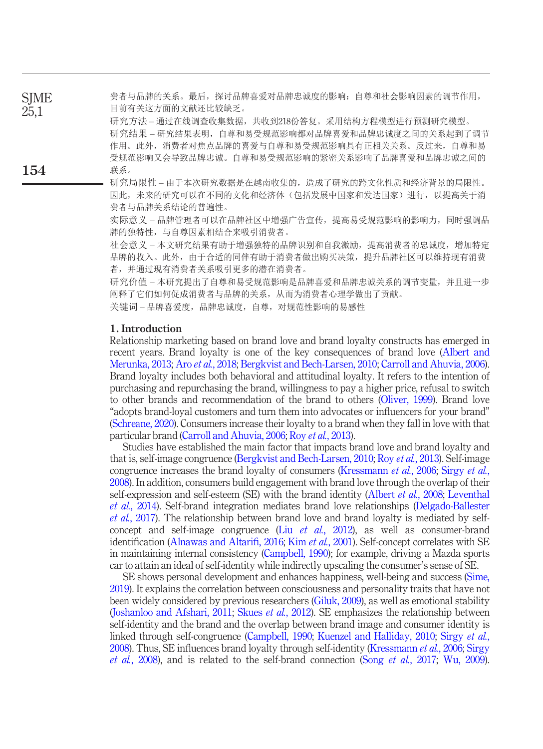费者与品牌的关系。最后,探讨品牌喜爱对品牌忠诚度的影响:自尊和社会影响因素的调节作用, 目前有关这方面的文献还比较缺乏。 **SIME** 25,1

研究方法 – 通过在线调查收集数据,共收到218份答复。采用结构方程模型进行预测研究模型。 研究结果 – 研究结果表明,自尊和易受规范影响都对品牌喜爱和品牌忠诚度之间的关系起到了调节 作用。此外,消费者对焦点品牌的喜爱与自尊和易受规范影响具有正相关关系。反过来,自尊和易 受规范影响又会导致品牌忠诚。自尊和易受规范影响的紧密关系影响了品牌喜爱和品牌忠诚之间的 联系。

研究局限性 – 由于本次研究数据是在越南收集的,造成了研究的跨文化性质和经济背景的局限性。 因此,未来的研究可以在不同的文化和经济体(包括发展中国家和发达国家)进行,以提高关于消 费者与品牌关系结论的普遍性。

实际意义 – 品牌管理者可以在品牌社区中增强广告宣传,提高易受规范影响的影响力,同时强调品 牌的独特性,与自尊因素相结合来吸引消费者。

社会意义 – 本文研究结果有助于增强独特的品牌识别和自我激励,提高消费者的忠诚度,增加特定 品牌的收入。此外,由于合适的同伴有助于消费者做出购买决策,提升品牌社区可以维持现有消费 者,并通过现有消费者关系吸引更多的潜在消费者。

研究价值 – 本研究提出了自尊和易受规范影响是品牌喜爱和品牌忠诚关系的调节变量,并且进一步 阐释了它们如何促成消费者与品牌的关系,从而为消费者心理学做出了贡献。 关键词 – 品牌喜爱度,品牌忠诚度,自尊,对规范性影响的易感性

### 1. Introduction

154

Relationship marketing based on brand love and brand loyalty constructs has emerged in recent years. Brand loyalty is one of the key consequences of brand love [\(Albert and](#page-15-0) [Merunka, 2013;](#page-15-0) Aro et al.[, 2018;](#page-16-0) [Bergkvist and Bech-Larsen, 2010;](#page-16-1) [Carroll and Ahuvia, 2006\)](#page-17-0). Brand loyalty includes both behavioral and attitudinal loyalty. It refers to the intention of purchasing and repurchasing the brand, willingness to pay a higher price, refusal to switch to other brands and recommendation of the brand to others [\(Oliver, 1999](#page-21-0)). Brand love "adopts brand-loyal customers and turn them into advocates or influencers for your brand" [\(Schreane, 2020\)](#page-22-0). Consumers increase their loyalty to a brand when they fall in love with that particular brand ([Carroll and Ahuvia, 2006](#page-17-0); Roy et al.[, 2013\)](#page-21-1).

Studies have established the main factor that impacts brand love and brand loyalty and that is, self-image congruence [\(Bergkvist and Bech-Larsen, 2010](#page-16-1); Roy et al.[, 2013](#page-21-1)). Self-image congruence increases the brand loyalty of consumers ([Kressmann](#page-19-0) et al., 2006; [Sirgy](#page-22-1) et al., [2008](#page-22-1)). In addition, consumers build engagement with brand love through the overlap of their self-expression and self-esteem (SE) with the brand identity [\(Albert](#page-16-2) *et al.*, 2008; [Leventhal](#page-20-0) et al.[, 2014](#page-20-0)). Self-brand integration mediates brand love relationships [\(Delgado-Ballester](#page-17-1)  $et \ al., 2017$  $et \ al., 2017$ . The relationship between brand love and brand loyalty is mediated by selfconcept and self-image congruence (Liu  $et$   $al$ [, 2012](#page-20-1)), as well as consumer-brand identification ([Alnawas and Altari](#page-16-3)fi, 2016; Kim et al.[, 2001](#page-19-1)). Self-concept correlates with SE in maintaining internal consistency [\(Campbell, 1990](#page-17-2)); for example, driving a Mazda sports car to attain an ideal of self-identity while indirectly upscaling the consumer's sense of SE.

SE shows personal development and enhances happiness, well-being and success [\(Sime,](#page-22-2) [2019](#page-22-2)). It explains the correlation between consciousness and personality traits that have not been widely considered by previous researchers [\(Giluk, 2009](#page-18-0)), as well as emotional stability [\(Joshanloo and Afshari, 2011;](#page-19-2) Skues et al.[, 2012\)](#page-22-3). SE emphasizes the relationship between self-identity and the brand and the overlap between brand image and consumer identity is linked through self-congruence ([Campbell, 1990](#page-17-2); [Kuenzel and Halliday, 2010](#page-19-3); [Sirgy](#page-22-1) et al., [2008](#page-22-1)). Thus, SE influences brand loyalty through self-identity [\(Kressmann](#page-19-0) et al., 2006; [Sirgy](#page-22-1) *et al.*[, 2008](#page-22-1)), and is related to the self-brand connection (Song *et al.*[, 2017;](#page-22-4) [Wu, 2009\)](#page-23-0).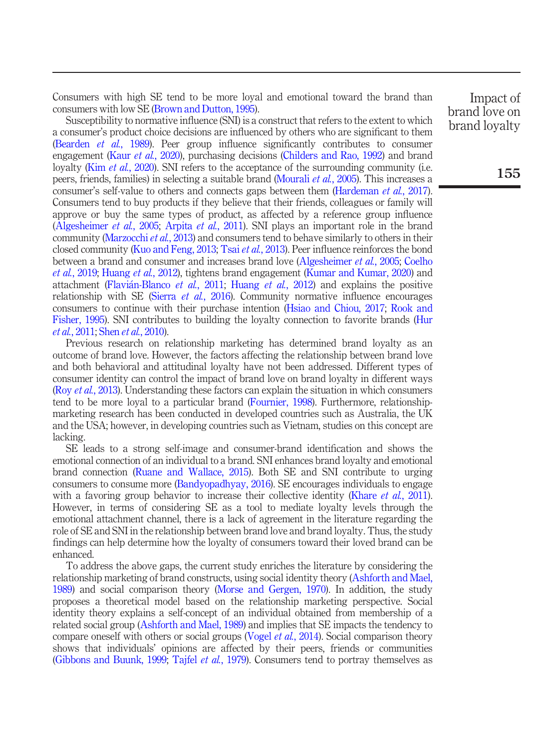Consumers with high SE tend to be more loyal and emotional toward the brand than consumers with low SE [\(Brown and Dutton, 1995\)](#page-17-3).

Susceptibility to normative influence (SNI) is a construct that refers to the extent to which a consumer's product choice decisions are influenced by others who are significant to them [\(Bearden](#page-16-4) et al., 1989). Peer group influence significantly contributes to consumer engagement (Kaur *et al.*[, 2020](#page-19-4)), purchasing decisions [\(Childers and Rao, 1992](#page-17-4)) and brand loyalty (Kim *et al.*[, 2020\)](#page-19-5). SNI refers to the acceptance of the surrounding community (i.e. peers, friends, families) in selecting a suitable brand [\(Mourali](#page-20-2) et al., 2005). This increases a consumer's self-value to others and connects gaps between them ([Hardeman](#page-18-1) *et al.*, 2017). Consumers tend to buy products if they believe that their friends, colleagues or family will approve or buy the same types of product, as affected by a reference group influence [\(Algesheimer](#page-16-5) et al., 2005; [Arpita](#page-16-6) et al., 2011). SNI plays an important role in the brand community [\(Marzocchi](#page-20-3) *et al.*, 2013) and consumers tend to behave similarly to others in their closed community [\(Kuo and Feng, 2013](#page-19-6); Tsai *et al.*[, 2013\)](#page-23-1). Peer influence reinforces the bond between a brand and consumer and increases brand love ([Algesheimer](#page-16-5) et al., 2005; [Coelho](#page-17-5) et al.[, 2019](#page-17-5); [Huang](#page-18-2) et al., 2012), tightens brand engagement ([Kumar and Kumar, 2020\)](#page-19-7) and attachment (Flavián-Blanco et al., 2011; [Huang](#page-18-2) et al., 2012) and explains the positive relationship with SE (Sierra *et al.*[, 2016](#page-22-5)). Community normative influence encourages consumers to continue with their purchase intention ([Hsiao and Chiou, 2017;](#page-18-3) [Rook and](#page-21-2) [Fisher, 1995\)](#page-21-2). SNI contributes to building the loyalty connection to favorite brands [\(Hur](#page-18-4) et al.[, 2011](#page-18-4); Shen et al.[, 2010](#page-22-6)).

Previous research on relationship marketing has determined brand loyalty as an outcome of brand love. However, the factors affecting the relationship between brand love and both behavioral and attitudinal loyalty have not been addressed. Different types of consumer identity can control the impact of brand love on brand loyalty in different ways (Roy *et al.*[, 2013\)](#page-21-1). Understanding these factors can explain the situation in which consumers tend to be more loyal to a particular brand [\(Fournier, 1998\)](#page-18-5). Furthermore, relationshipmarketing research has been conducted in developed countries such as Australia, the UK and the USA; however, in developing countries such as Vietnam, studies on this concept are lacking.

SE leads to a strong self-image and consumer-brand identification and shows the emotional connection of an individual to a brand. SNI enhances brand loyalty and emotional brand connection [\(Ruane and Wallace, 2015\)](#page-21-3). Both SE and SNI contribute to urging consumers to consume more [\(Bandyopadhyay, 2016\)](#page-16-7). SE encourages individuals to engage with a favoring group behavior to increase their collective identity (Khare *et al.*[, 2011\)](#page-19-8). However, in terms of considering SE as a tool to mediate loyalty levels through the emotional attachment channel, there is a lack of agreement in the literature regarding the role of SE and SNI in the relationship between brand love and brand loyalty. Thus, the study findings can help determine how the loyalty of consumers toward their loved brand can be enhanced.

To address the above gaps, the current study enriches the literature by considering the relationship marketing of brand constructs, using social identity theory [\(Ashforth and Mael,](#page-16-8) [1989\)](#page-16-8) and social comparison theory ([Morse and Gergen, 1970](#page-20-4)). In addition, the study proposes a theoretical model based on the relationship marketing perspective. Social identity theory explains a self-concept of an individual obtained from membership of a related social group [\(Ashforth and Mael, 1989](#page-16-8)) and implies that SE impacts the tendency to compare oneself with others or social groups (Vogel *et al.*[, 2014\)](#page-23-2). Social comparison theory shows that individuals' opinions are affected by their peers, friends or communities [\(Gibbons and Buunk, 1999](#page-18-6); Tajfel et al.[, 1979\)](#page-22-7). Consumers tend to portray themselves as

Impact of brand love on brand loyalty

155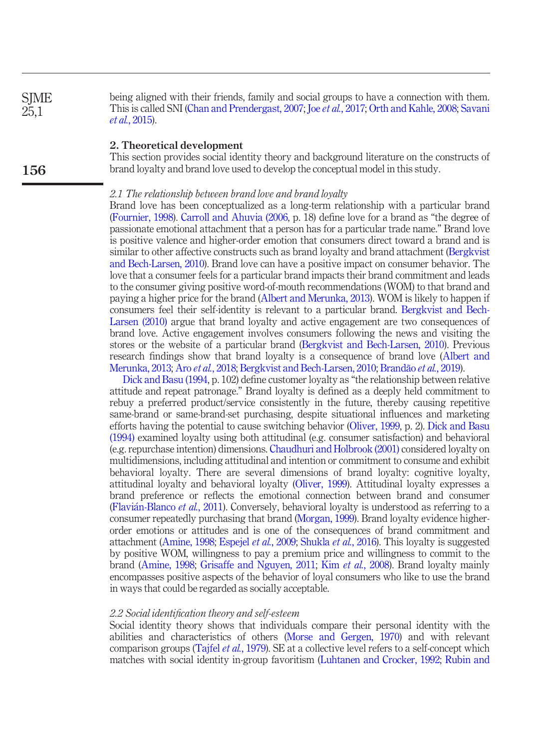being aligned with their friends, family and social groups to have a connection with them. This is called SNI [\(Chan and Prendergast, 2007;](#page-17-7) Joe et al.[, 2017;](#page-19-9) [Orth and Kahle, 2008](#page-21-4); [Savani](#page-22-8) et al.[, 2015](#page-22-8)). **SIME** 25,1

# 2. Theoretical development

156

This section provides social identity theory and background literature on the constructs of brand loyalty and brand love used to develop the conceptual model in this study.

#### 2.1 The relationship between brand love and brand loyalty

Brand love has been conceptualized as a long-term relationship with a particular brand [\(Fournier, 1998](#page-18-5)). [Carroll and Ahuvia \(2006,](#page-17-0) p. 18) define love for a brand as "the degree of passionate emotional attachment that a person has for a particular trade name." Brand love is positive valence and higher-order emotion that consumers direct toward a brand and is similar to other affective constructs such as brand loyalty and brand attachment ([Bergkvist](#page-16-1) [and Bech-Larsen, 2010\)](#page-16-1). Brand love can have a positive impact on consumer behavior. The love that a consumer feels for a particular brand impacts their brand commitment and leads to the consumer giving positive word-of-mouth recommendations (WOM) to that brand and paying a higher price for the brand ([Albert and Merunka, 2013](#page-15-0)). WOM is likely to happen if consumers feel their self-identity is relevant to a particular brand. [Bergkvist and Bech-](#page-16-1)[Larsen \(2010\)](#page-16-1) argue that brand loyalty and active engagement are two consequences of brand love. Active engagement involves consumers following the news and visiting the stores or the website of a particular brand [\(Bergkvist and Bech-Larsen, 2010\)](#page-16-1). Previous research findings show that brand loyalty is a consequence of brand love [\(Albert and](#page-15-0) [Merunka, 2013;](#page-15-0) Aro et al.[, 2018](#page-16-0); [Bergkvist and Bech-Larsen, 2010;](#page-16-1) [Brandão](#page-17-8) et al., 2019).

[Dick and Basu \(1994,](#page-17-9) p. 102) define customer loyalty as "the relationship between relative attitude and repeat patronage." Brand loyalty is defined as a deeply held commitment to rebuy a preferred product/service consistently in the future, thereby causing repetitive same-brand or same-brand-set purchasing, despite situational influences and marketing efforts having the potential to cause switching behavior ([Oliver, 1999](#page-21-0), p. 2). [Dick and Basu](#page-17-9) [\(1994\)](#page-17-9) examined loyalty using both attitudinal (e.g. consumer satisfaction) and behavioral (e.g. repurchase intention) dimensions. [Chaudhuri and Holbrook \(2001\)](#page-17-10) considered loyalty on multidimensions, including attitudinal and intention or commitment to consume and exhibit behavioral loyalty. There are several dimensions of brand loyalty: cognitive loyalty, attitudinal loyalty and behavioral loyalty [\(Oliver, 1999](#page-21-0)). Attitudinal loyalty expresses a brand preference or reflects the emotional connection between brand and consumer (Flavi[an-Blanco](#page-17-6) et al., 2011). Conversely, behavioral loyalty is understood as referring to a consumer repeatedly purchasing that brand [\(Morgan, 1999\)](#page-20-5). Brand loyalty evidence higherorder emotions or attitudes and is one of the consequences of brand commitment and attachment [\(Amine, 1998;](#page-16-9) [Espejel](#page-17-11) et al., 2009; [Shukla](#page-22-9) et al., 2016). This loyalty is suggested by positive WOM, willingness to pay a premium price and willingness to commit to the brand [\(Amine, 1998;](#page-16-9) [Grisaffe and Nguyen, 2011;](#page-18-7) Kim et al.[, 2008\)](#page-19-10). Brand loyalty mainly encompasses positive aspects of the behavior of loyal consumers who like to use the brand in ways that could be regarded as socially acceptable.

#### 2.2 Social identification theory and self-esteem

Social identity theory shows that individuals compare their personal identity with the abilities and characteristics of others ([Morse and Gergen, 1970\)](#page-20-4) and with relevant comparison groups [\(Tajfel](#page-22-7) et al., 1979). SE at a collective level refers to a self-concept which matches with social identity in-group favoritism [\(Luhtanen and Crocker, 1992;](#page-20-6) [Rubin and](#page-21-5)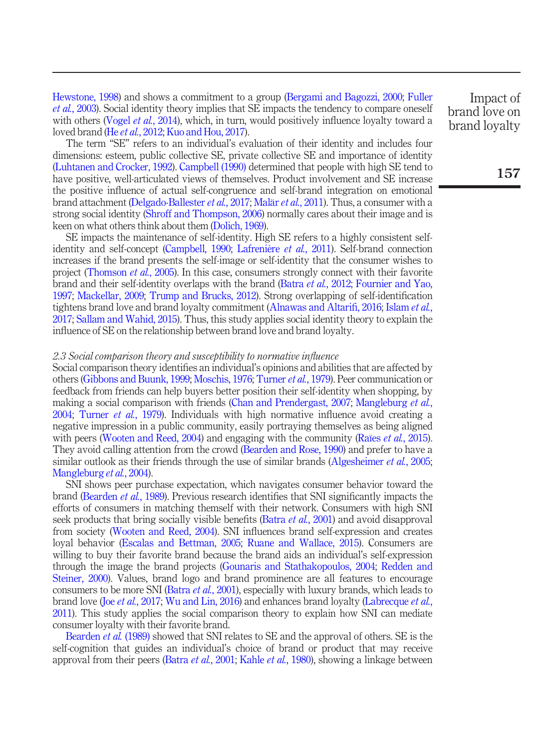[Hewstone, 1998\)](#page-21-5) and shows a commitment to a group ([Bergami and Bagozzi, 2000;](#page-16-10) [Fuller](#page-18-8) et al.[, 2003\)](#page-18-8). Social identity theory implies that SE impacts the tendency to compare oneself with others [\(Vogel](#page-23-2) et al., 2014), which, in turn, would positively influence loyalty toward a loved brand (He et al.[, 2012;](#page-18-9) [Kuo and Hou, 2017](#page-19-11)).

The term "SE" refers to an individual's evaluation of their identity and includes four dimensions: esteem, public collective SE, private collective SE and importance of identity [\(Luhtanen and Crocker, 1992\)](#page-20-6). [Campbell \(1990\)](#page-17-2) determined that people with high SE tend to have positive, well-articulated views of themselves. Product involvement and SE increase the positive influence of actual self-congruence and self-brand integration on emotional brand attachment [\(Delgado-Ballester](#page-17-1) et al., 2017; [Malär](#page-20-7) et al., 2011). Thus, a consumer with a strong social identity ([Shroff and Thompson, 2006\)](#page-22-10) normally cares about their image and is keen on what others think about them ([Dolich, 1969\)](#page-17-12).

SE impacts the maintenance of self-identity. High SE refers to a highly consistent selfidentity and self-concept [\(Campbell, 1990;](#page-17-2) [Lafrenière](#page-20-8) et al., 2011). Self-brand connection increases if the brand presents the self-image or self-identity that the consumer wishes to project [\(Thomson](#page-23-3) *et al.*, 2005). In this case, consumers strongly connect with their favorite brand and their self-identity overlaps with the brand (Batra et al.[, 2012;](#page-16-11) [Fournier and Yao,](#page-18-10) [1997;](#page-18-10) [Mackellar, 2009;](#page-20-9) [Trump and Brucks, 2012\)](#page-23-4). Strong overlapping of self-identification tightens brand love and brand loyalty commitment ([Alnawas and Altari](#page-16-3)fi, 2016; [Islam](#page-19-12) et al., [2017;](#page-19-12) [Sallam and Wahid, 2015](#page-22-11)). Thus, this study applies social identity theory to explain the influence of SE on the relationship between brand love and brand loyalty.

#### 2.3 Social comparison theory and susceptibility to normative influence

Social comparison theory identifies an individual's opinions and abilities that are affected by others ([Gibbons and Buunk, 1999;](#page-18-6) [Moschis, 1976](#page-20-10); [Turner](#page-22-7) et al., 1979). Peer communication or feedback from friends can help buyers better position their self-identity when shopping, by making a social comparison with friends [\(Chan and Prendergast, 2007;](#page-17-7) [Mangleburg](#page-20-11) et al., [2004;](#page-20-11) [Turner](#page-23-5) et al., 1979). Individuals with high normative influence avoid creating a negative impression in a public community, easily portraying themselves as being aligned with peers [\(Wooten and Reed, 2004\)](#page-23-6) and engaging with the community (Raïes *et al.*[, 2015\)](#page-21-6). They avoid calling attention from the crowd [\(Bearden and Rose, 1990\)](#page-16-12) and prefer to have a similar outlook as their friends through the use of similar brands ([Algesheimer](#page-16-5) *et al.*, 2005; [Mangleburg](#page-20-11) et al., 2004).

SNI shows peer purchase expectation, which navigates consumer behavior toward the brand ([Bearden](#page-16-4) et al., 1989). Previous research identifies that SNI significantly impacts the efforts of consumers in matching themself with their network. Consumers with high SNI seek products that bring socially visible benefits (Batra *et al.*[, 2001](#page-16-13)) and avoid disapproval from society [\(Wooten and Reed, 2004\)](#page-23-6). SNI influences brand self-expression and creates loyal behavior ([Escalas and Bettman, 2005;](#page-17-13) [Ruane and Wallace, 2015](#page-21-3)). Consumers are willing to buy their favorite brand because the brand aids an individual's self-expression through the image the brand projects [\(Gounaris and Stathakopoulos, 2004;](#page-18-11) [Redden and](#page-21-7) [Steiner, 2000](#page-21-7)). Values, brand logo and brand prominence are all features to encourage consumers to be more SNI (Batra *et al.*[, 2001\)](#page-16-13), especially with luxury brands, which leads to brand love (Joe et al.[, 2017;](#page-19-9) [Wu and Lin, 2016](#page-23-7)) and enhances brand loyalty ([Labrecque](#page-20-12) et al., [2011\)](#page-20-12). This study applies the social comparison theory to explain how SNI can mediate consumer loyalty with their favorite brand.

[Bearden](#page-16-4) *et al.* (1989) showed that SNI relates to SE and the approval of others. SE is the self-cognition that guides an individual's choice of brand or product that may receive approval from their peers (Batra *et al.*[, 2001;](#page-16-13) Kahle *et al.*[, 1980\)](#page-19-13), showing a linkage between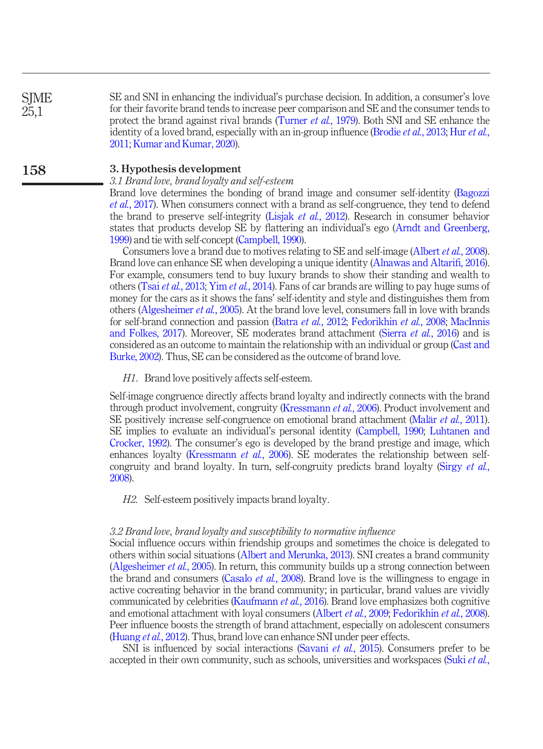SE and SNI in enhancing the individual's purchase decision. In addition, a consumer's love for their favorite brand tends to increase peer comparison and SE and the consumer tends to protect the brand against rival brands ([Turner](#page-23-5) et al., 1979). Both SNI and SE enhance the identity of a loved brand, especially with an in-group influence [\(Brodie](#page-17-14) *[et al.](#page-18-4)*, 2013; Hur *et al.*, [2011](#page-18-4); [Kumar and Kumar, 2020\)](#page-19-7).

#### 3. Hypothesis development 158

**SIME** 25,1

# 3.1 Brand love, brand loyalty and self-esteem

Brand love determines the bonding of brand image and consumer self-identity [\(Bagozzi](#page-16-14) et al.[, 2017](#page-16-14)). When consumers connect with a brand as self-congruence, they tend to defend the brand to preserve self-integrity (Lisjak et al.[, 2012\)](#page-20-13). Research in consumer behavior states that products develop SE by flattering an individual's ego [\(Arndt and Greenberg,](#page-16-15) [1999](#page-16-15)) and tie with self-concept ([Campbell, 1990\)](#page-17-2).

Consumers love a brand due to motives relating to SE and self-image [\(Albert](#page-16-2) *et al.*, 2008). Brand love can enhance SE when developing a unique identity ([Alnawas and Altari](#page-16-3)fi, 2016). For example, consumers tend to buy luxury brands to show their standing and wealth to others (Tsai *et al.*[, 2013](#page-23-1); Yim *et al.*[, 2014](#page-23-8)). Fans of car brands are willing to pay huge sums of money for the cars as it shows the fans' self-identity and style and distinguishes them from others ([Algesheimer](#page-16-5) et al., 2005). At the brand love level, consumers fall in love with brands for self-brand connection and passion (Batra et al.[, 2012;](#page-16-11) [Fedorikhin](#page-17-15) et al., 2008; [MacInnis](#page-20-14) [and Folkes, 2017\)](#page-20-14). Moreover, SE moderates brand attachment (Sierra et al.[, 2016\)](#page-22-5) and is considered as an outcome to maintain the relationship with an individual or group [\(Cast and](#page-17-16) [Burke, 2002](#page-17-16)). Thus, SE can be considered as the outcome of brand love.

H1. Brand love positively affects self-esteem.

Self-image congruence directly affects brand loyalty and indirectly connects with the brand through product involvement, congruity [\(Kressmann](#page-19-0) et al., 2006). Product involvement and SE positively increase self-congruence on emotional brand attachment (Malär et al.[, 2011\)](#page-20-7). SE implies to evaluate an individual's personal identity ([Campbell, 1990;](#page-17-2) [Luhtanen and](#page-20-6) [Crocker, 1992\)](#page-20-6). The consumer's ego is developed by the brand prestige and image, which enhances loyalty ([Kressmann](#page-19-0) *et al.*, 2006). SE moderates the relationship between self-congruity and brand loyalty. In turn, self-congruity predicts brand loyalty ([Sirgy](#page-22-1) *et al.*, [2008](#page-22-1)).

H2. Self-esteem positively impacts brand loyalty.

#### 3.2 Brand love, brand loyalty and susceptibility to normative influence

Social influence occurs within friendship groups and sometimes the choice is delegated to others within social situations [\(Albert and Merunka, 2013\)](#page-15-0). SNI creates a brand community [\(Algesheimer](#page-16-5) et al., 2005). In return, this community builds up a strong connection between the brand and consumers [\(Casalo](#page-17-17) *et al.*, 2008). Brand love is the willingness to engage in active cocreating behavior in the brand community; in particular, brand values are vividly communicated by celebrities [\(Kaufmann](#page-19-14) et al., 2016). Brand love emphasizes both cognitive and emotional attachment with loyal consumers ([Albert](#page-16-16) et al., 2009; [Fedorikhin](#page-17-15) et al., 2008). Peer influence boosts the strength of brand attachment, especially on adolescent consumers [\(Huang](#page-18-2) et al., 2012). Thus, brand love can enhance SNI under peer effects.

SNI is influenced by social interactions ([Savani](#page-22-8) *et al.*, 2015). Consumers prefer to be accepted in their own community, such as schools, universities and workspaces (Suki *[et al.](#page-22-12)*,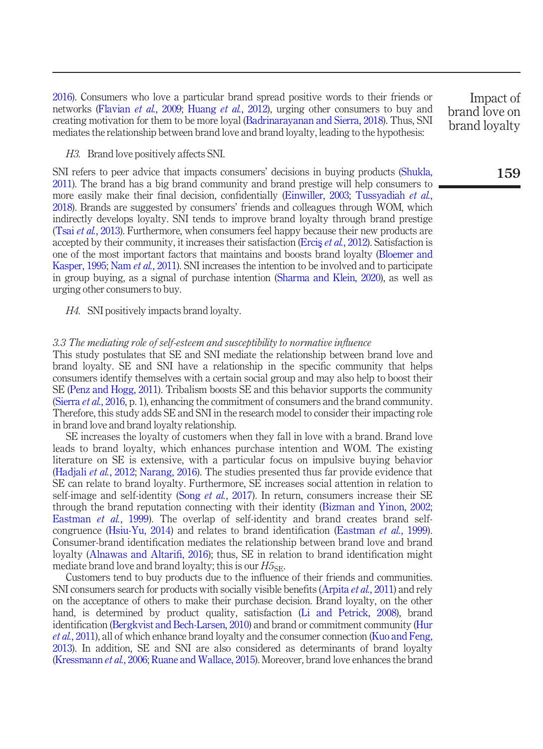[2016\)](#page-22-12). Consumers who love a particular brand spread positive words to their friends or networks ([Flavian](#page-18-12) *et al.*, 2009; [Huang](#page-18-2) *et al.*, 2012), urging other consumers to buy and creating motivation for them to be more loyal ([Badrinarayanan and Sierra, 2018](#page-16-17)). Thus, SNI mediates the relationship between brand love and brand loyalty, leading to the hypothesis:

#### H3. Brand love positively affects SNI.

SNI refers to peer advice that impacts consumers' decisions in buying products ([Shukla,](#page-22-13) [2011\)](#page-22-13). The brand has a big brand community and brand prestige will help consumers to more easily make their final decision, confidentially [\(Einwiller, 2003](#page-17-18); [Tussyadiah](#page-23-9) et al., [2018\)](#page-23-9). Brands are suggested by consumers' friends and colleagues through WOM, which indirectly develops loyalty. SNI tends to improve brand loyalty through brand prestige (Tsai et al.[, 2013](#page-23-1)). Furthermore, when consumers feel happy because their new products are accepted by their community, it increases their satisfaction (Ercis et al.[, 2012\)](#page-17-19). Satisfaction is one of the most important factors that maintains and boosts brand loyalty [\(Bloemer and](#page-16-18) [Kasper, 1995;](#page-16-18) Nam et al.[, 2011\)](#page-21-8). SNI increases the intention to be involved and to participate in group buying, as a signal of purchase intention [\(Sharma and Klein, 2020\)](#page-22-14), as well as urging other consumers to buy.

H4. SNI positively impacts brand loyalty.

### 3.3 The mediating role of self-esteem and susceptibility to normative influence

This study postulates that SE and SNI mediate the relationship between brand love and brand loyalty. SE and SNI have a relationship in the specific community that helps consumers identify themselves with a certain social group and may also help to boost their SE ([Penz and Hogg, 2011\)](#page-21-9). Tribalism boosts SE and this behavior supports the community [\(Sierra](#page-22-5) *et al.*, 2016, p. 1), enhancing the commitment of consumers and the brand community. Therefore, this study adds SE and SNI in the research model to consider their impacting role in brand love and brand loyalty relationship.

SE increases the loyalty of customers when they fall in love with a brand. Brand love leads to brand loyalty, which enhances purchase intention and WOM. The existing literature on SE is extensive, with a particular focus on impulsive buying behavior [\(Hadjali](#page-18-13) et al., 2012; [Narang, 2016](#page-21-10)). The studies presented thus far provide evidence that SE can relate to brand loyalty. Furthermore, SE increases social attention in relation to self-image and self-identity (Song *et al.*[, 2017](#page-22-4)). In return, consumers increase their SE through the brand reputation connecting with their identity ([Bizman and Yinon, 2002](#page-16-19); [Eastman](#page-17-20) et al., 1999). The overlap of self-identity and brand creates brand selfcongruence ([Hsiu-Yu, 2014](#page-18-14)) and relates to brand identification [\(Eastman](#page-17-20) et al., 1999). Consumer-brand identification mediates the relationship between brand love and brand loyalty ([Alnawas and Altari](#page-16-3)fi, 2016); thus, SE in relation to brand identification might mediate brand love and brand loyalty; this is our  $H_{\rm 5SE}$ .

Customers tend to buy products due to the influence of their friends and communities. SNI consumers search for products with socially visible benefits [\(Arpita](#page-16-6) *et al.*, 2011) and rely on the acceptance of others to make their purchase decision. Brand loyalty, on the other hand, is determined by product quality, satisfaction ([Li and Petrick, 2008](#page-20-15)), brand identification [\(Bergkvist and Bech-Larsen, 2010](#page-16-1)) and brand or commitment community [\(Hur](#page-18-4) et al.[, 2011\)](#page-18-4), all of which enhance brand loyalty and the consumer connection [\(Kuo and Feng,](#page-19-6) [2013\)](#page-19-6). In addition, SE and SNI are also considered as determinants of brand loyalty [\(Kressmann](#page-19-0) et al., 2006; [Ruane and Wallace, 2015\)](#page-21-3). Moreover, brand love enhances the brand

Impact of brand love on brand loyalty

# 159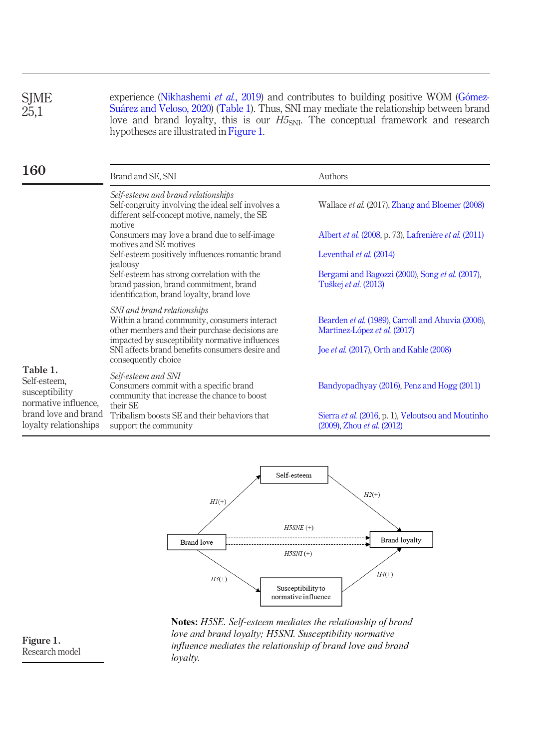experience [\(Nikhashemi](#page-21-11) et al., 2019) and contributes to building positive WOM (GómezSu[arez and Veloso, 2020\)](#page-18-15) [\(Table 1\)](#page-8-0). Thus, SNI may mediate the relationship between brand love and brand loyalty, this is our  $H5<sub>SNI</sub>$ . The conceptual framework and research hypotheses are illustrated in [Figure 1.](#page-8-1) SJME 25,1

| 160                                                                | Brand and SE, SNI                                                                                                                                                                | Authors                                                                           |  |  |
|--------------------------------------------------------------------|----------------------------------------------------------------------------------------------------------------------------------------------------------------------------------|-----------------------------------------------------------------------------------|--|--|
|                                                                    | Self-esteem and brand relationships<br>Self-congruity involving the ideal self involves a<br>different self-concept motive, namely, the SE<br>motive                             | Wallace et al. (2017), Zhang and Bloemer (2008)                                   |  |  |
|                                                                    | Consumers may love a brand due to self-image<br>motives and SE motives                                                                                                           | Albert <i>et al.</i> (2008, p. 73), Lafrenière <i>et al.</i> (2011)               |  |  |
|                                                                    | Self-esteem positively influences romantic brand<br>jealousy                                                                                                                     | Leventhal et al. (2014)                                                           |  |  |
|                                                                    | Self-esteem has strong correlation with the<br>brand passion, brand commitment, brand<br>identification, brand loyalty, brand love                                               | Bergami and Bagozzi (2000), Song et al. (2017),<br>Tuškej <i>et al.</i> (2013)    |  |  |
|                                                                    | SNI and brand relationships<br>Within a brand community, consumers interact<br>other members and their purchase decisions are<br>impacted by susceptibility normative influences | Bearden et al. (1989), Carroll and Ahuvia (2006),<br>Martínez-López et al. (2017) |  |  |
|                                                                    | SNI affects brand benefits consumers desire and<br>consequently choice                                                                                                           | Joe et al. (2017), Orth and Kahle (2008)                                          |  |  |
| Table 1.<br>Self-esteem,<br>susceptibility<br>normative influence. | Self-esteem and SNI<br>Consumers commit with a specific brand<br>community that increase the chance to boost<br>their SE                                                         | Bandyopadhyay (2016), Penz and Hogg (2011)                                        |  |  |
| brand love and brand<br>loyalty relationships                      | Tribalism boosts SE and their behaviors that<br>support the community                                                                                                            | Sierra et al. (2016, p. 1), Veloutsou and Moutinho<br>(2009), Zhou et al. (2012)  |  |  |

<span id="page-8-0"></span>

Notes: H5SE. Self-esteem mediates the relationship of brand love and brand loyalty; H5SNI. Susceptibility normative influence mediates the relationship of brand love and brand loyalty.

<span id="page-8-1"></span>Figure 1. Research model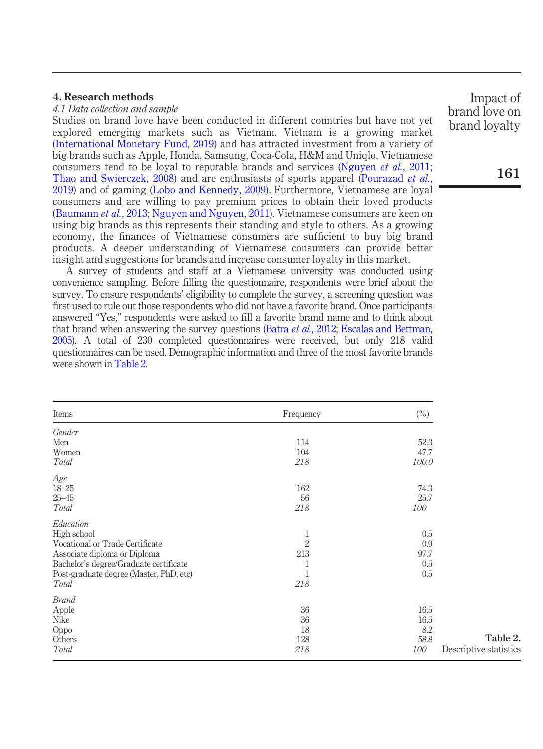# 4. Research methods

# 4.1 Data collection and sample

Studies on brand love have been conducted in different countries but have not yet explored emerging markets such as Vietnam. Vietnam is a growing market ([International Monetary Fund, 2019\)](#page-19-15) and has attracted investment from a variety of big brands such as Apple, Honda, Samsung, Coca-Cola, H&M and Uniqlo. Vietnamese consumers tend to be loyal to reputable brands and services ([Nguyen](#page-21-12) *et al.*, 2011; [Thao and Swierczek, 2008](#page-23-14)) and are enthusiasts of sports apparel ([Pourazad](#page-21-13) *et al.*, [2019\)](#page-21-13) and of gaming ([Lobo and Kennedy, 2009\)](#page-20-17). Furthermore, Vietnamese are loyal consumers and are willing to pay premium prices to obtain their loved products ([Baumann](#page-16-20) *et al.*, 2013; [Nguyen and Nguyen, 2011](#page-21-14)). Vietnamese consumers are keen on using big brands as this represents their standing and style to others. As a growing economy, the finances of Vietnamese consumers are sufficient to buy big brand products. A deeper understanding of Vietnamese consumers can provide better insight and suggestions for brands and increase consumer loyalty in this market.

A survey of students and staff at a Vietnamese university was conducted using convenience sampling. Before filling the questionnaire, respondents were brief about the survey. To ensure respondents' eligibility to complete the survey, a screening question was first used to rule out those respondents who did not have a favorite brand. Once participants answered "Yes," respondents were asked to fill a favorite brand name and to think about that brand when answering the survey questions (Batra *et al.*[, 2012;](#page-16-11) [Escalas and Bettman,](#page-17-13) [2005\)](#page-17-13). A total of 230 completed questionnaires were received, but only 218 valid questionnaires can be used. Demographic information and three of the most favorite brands were shown in [Table 2](#page-9-0).

<span id="page-9-0"></span>

| Items                                   | Frequency      | $(\%)$ |                        |
|-----------------------------------------|----------------|--------|------------------------|
| Gender                                  |                |        |                        |
| Men                                     | 114            | 52.3   |                        |
| Women                                   | 104            | 47.7   |                        |
| Total                                   | 218            | 100.0  |                        |
| Age                                     |                |        |                        |
| $18 - 25$                               | 162            | 74.3   |                        |
| $25 - 45$                               | 56             | 25.7   |                        |
| Total                                   | 218            | 100    |                        |
| Education                               |                |        |                        |
| High school                             | $\mathbf{1}$   | 0.5    |                        |
| Vocational or Trade Certificate         | $\overline{2}$ | 0.9    |                        |
| Associate diploma or Diploma            | 213            | 97.7   |                        |
| Bachelor's degree/Graduate certificate  | 1              | 0.5    |                        |
| Post-graduate degree (Master, PhD, etc) | 1              | 0.5    |                        |
| Total                                   | 218            |        |                        |
| <b>Brand</b>                            |                |        |                        |
| Apple                                   | 36             | 16.5   |                        |
| Nike                                    | 36             | 16.5   |                        |
| Oppo                                    | 18             | 8.2    |                        |
| Others                                  | 128            | 58.8   | Table 2.               |
| Total                                   | 218            | 100    | Descriptive statistics |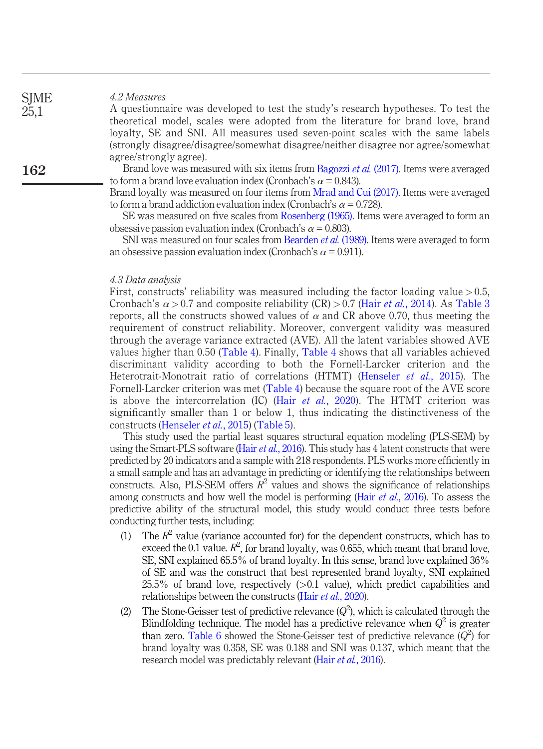#### 4.2 Measures

A questionnaire was developed to test the study's research hypotheses. To test the theoretical model, scales were adopted from the literature for brand love, brand loyalty, SE and SNI. All measures used seven-point scales with the same labels (strongly disagree/disagree/somewhat disagree/neither disagree nor agree/somewhat agree/strongly agree).

Brand love was measured with six items from [Bagozzi](#page-16-14) et al. (2017). Items were averaged to form a brand love evaluation index (Cronbach's  $\alpha$  = 0.843).

Brand loyalty was measured on four items from [Mrad and Cui \(2017\).](#page-21-15) Items were averaged to form a brand addiction evaluation index (Cronbach's  $\alpha = 0.728$ ).

SE was measured on five scales from [Rosenberg \(1965\)](#page-21-16). Items were averaged to form an obsessive passion evaluation index (Cronbach's  $\alpha$  = 0.803).

SNI was measured on four scales from [Bearden](#page-16-4) *et al.* (1989). Items were averaged to form an obsessive passion evaluation index (Cronbach's  $\alpha$  = 0.911).

#### 4.3 Data analysis

First, constructs' reliability was measured including the factor loading value  $> 0.5$ , Cronbach's  $\alpha > 0.7$  and composite reliability (CR)  $> 0.7$  (Hair *et al.*[, 2014](#page-18-16)). As [Table 3](#page-11-0) reports, all the constructs showed values of  $\alpha$  and CR above 0.70, thus meeting the requirement of construct reliability. Moreover, convergent validity was measured through the average variance extracted (AVE). All the latent variables showed AVE values higher than 0.50 [\(Table 4](#page-12-0)). Finally, [Table 4](#page-12-0) shows that all variables achieved discriminant validity according to both the Fornell-Larcker criterion and the Heterotrait-Monotrait ratio of correlations (HTMT) ([Henseler](#page-18-17) et al., 2015). The Fornell-Larcker criterion was met ([Table 4\)](#page-12-0) because the square root of the AVE score is above the intercorrelation (IC) (Hair *et al.*[, 2020](#page-18-18)). The HTMT criterion was significantly smaller than 1 or below 1, thus indicating the distinctiveness of the constructs ([Henseler](#page-18-17) et al., 2015) [\(Table 5\)](#page-12-1).

This study used the partial least squares structural equation modeling (PLS-SEM) by using the Smart-PLS software (Hair et al.[, 2016](#page-18-19)). This study has 4 latent constructs that were predicted by 20 indicators and a sample with 218 respondents. PLS works more efficiently in a small sample and has an advantage in predicting or identifying the relationships between constructs. Also, PLS-SEM offers  $\mathbb{R}^2$  values and shows the significance of relationships among constructs and how well the model is performing (Hair et al.[, 2016\)](#page-18-19). To assess the predictive ability of the structural model, this study would conduct three tests before conducting further tests, including:

- (1) The  $R^2$  value (variance accounted for) for the dependent constructs, which has to exceed the 0.1 value.  $R^2$ , for brand loyalty, was 0.655, which meant that brand love, SE, SNI explained 65.5% of brand loyalty. In this sense, brand love explained 36% of SE and was the construct that best represented brand loyalty, SNI explained  $25.5\%$  of brand love, respectively  $(>0.1$  value), which predict capabilities and relationships between the constructs (Hair et al.[, 2020\)](#page-18-18).
- (2) The Stone-Geisser test of predictive relevance  $(Q^2)$ , which is calculated through the Blindfolding technique. The model has a predictive relevance when  $Q^2$  is greater than zero. [Table 6](#page-13-0) showed the Stone-Geisser test of predictive relevance  $(Q^2)$  for brand loyalty was 0.358, SE was 0.188 and SNI was 0.137, which meant that the research model was predictably relevant (Hair *et al.*[, 2016\)](#page-18-19).

162

**SIME** 25,1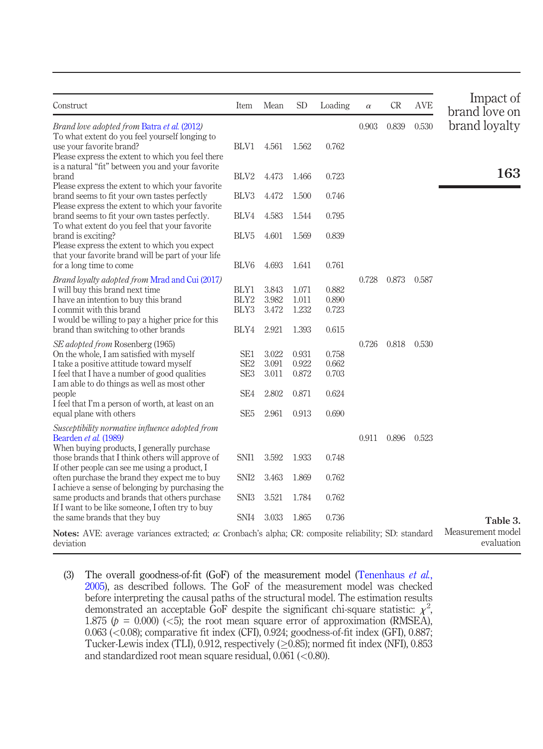| Construct                                                                                                            | Item             | Mean  | <b>SD</b> | Loading | $\alpha$ | CR    | <b>AVE</b> | Impact of<br>brand love on |
|----------------------------------------------------------------------------------------------------------------------|------------------|-------|-----------|---------|----------|-------|------------|----------------------------|
| Brand love adopted from Batra et al. (2012)                                                                          |                  |       |           |         | 0.903    | 0.839 | 0.530      | brand loyalty              |
| To what extent do you feel yourself longing to                                                                       |                  |       |           |         |          |       |            |                            |
| use your favorite brand?<br>Please express the extent to which you feel there                                        | BLV1             | 4.561 | 1.562     | 0.762   |          |       |            |                            |
| is a natural "fit" between you and your favorite                                                                     |                  |       |           |         |          |       |            |                            |
| brand                                                                                                                | BLV2             | 4.473 | 1.466     | 0.723   |          |       |            | 163                        |
| Please express the extent to which your favorite<br>brand seems to fit your own tastes perfectly                     | BLV3             | 4.472 | 1.500     | 0.746   |          |       |            |                            |
| Please express the extent to which your favorite                                                                     |                  |       |           |         |          |       |            |                            |
| brand seems to fit your own tastes perfectly.                                                                        | BLV4             | 4.583 | 1.544     | 0.795   |          |       |            |                            |
| To what extent do you feel that your favorite                                                                        |                  |       |           |         |          |       |            |                            |
| brand is exciting?<br>Please express the extent to which you expect                                                  | BLV <sub>5</sub> | 4.601 | 1.569     | 0.839   |          |       |            |                            |
| that your favorite brand will be part of your life                                                                   |                  |       |           |         |          |       |            |                            |
| for a long time to come                                                                                              | BLV6             | 4.693 | 1.641     | 0.761   |          |       |            |                            |
| Brand loyalty adopted from Mrad and Cui (2017)                                                                       |                  |       |           |         | 0.728    | 0.873 | 0.587      |                            |
| I will buy this brand next time                                                                                      | BLY1             | 3.843 | 1.071     | 0.882   |          |       |            |                            |
| I have an intention to buy this brand                                                                                | BLY2             | 3.982 | 1.011     | 0.890   |          |       |            |                            |
| I commit with this brand                                                                                             | BLY3             | 3.472 | 1.232     | 0.723   |          |       |            |                            |
| I would be willing to pay a higher price for this<br>brand than switching to other brands                            | BLY4             | 2.921 | 1.393     | 0.615   |          |       |            |                            |
|                                                                                                                      |                  |       |           |         |          |       |            |                            |
| SE adopted from Rosenberg (1965)                                                                                     |                  |       |           |         | 0.726    | 0.818 | 0.530      |                            |
| On the whole, I am satisfied with myself                                                                             | SE1              | 3.022 | 0.931     | 0.758   |          |       |            |                            |
| I take a positive attitude toward myself                                                                             | SE <sub>2</sub>  | 3.091 | 0.922     | 0.662   |          |       |            |                            |
| I feel that I have a number of good qualities<br>I am able to do things as well as most other                        | SE <sub>3</sub>  | 3.011 | 0.872     | 0.703   |          |       |            |                            |
| people                                                                                                               | SE <sub>4</sub>  | 2.802 | 0.871     | 0.624   |          |       |            |                            |
| I feel that I'm a person of worth, at least on an                                                                    |                  |       |           |         |          |       |            |                            |
| equal plane with others                                                                                              | SE <sub>5</sub>  | 2.961 | 0.913     | 0.690   |          |       |            |                            |
| Susceptibility normative influence adopted from                                                                      |                  |       |           |         |          |       |            |                            |
| Bearden et al. (1989)                                                                                                |                  |       |           |         | 0.911    | 0.896 | 0.523      |                            |
| When buying products, I generally purchase                                                                           |                  |       |           |         |          |       |            |                            |
| those brands that I think others will approve of<br>If other people can see me using a product, I                    | SNI1             | 3.592 | 1.933     | 0.748   |          |       |            |                            |
| often purchase the brand they expect me to buy                                                                       | SNI <sub>2</sub> | 3.463 | 1.869     | 0.762   |          |       |            |                            |
| I achieve a sense of belonging by purchasing the                                                                     |                  |       |           |         |          |       |            |                            |
| same products and brands that others purchase                                                                        | SNI <sub>3</sub> | 3.521 | 1.784     | 0.762   |          |       |            |                            |
| If I want to be like someone, I often try to buy                                                                     |                  |       |           |         |          |       |            |                            |
| the same brands that they buy                                                                                        | SNI4             | 3.033 | 1.865     | 0.736   |          |       |            | Table 3.                   |
| <b>Notes:</b> AVE: average variances extracted; $\alpha$ : Cronbach's alpha; CR: composite reliability; SD: standard |                  |       |           |         |          |       |            | Measurement model          |
| deviation                                                                                                            |                  |       |           |         |          |       |            | evaluation                 |

<span id="page-11-0"></span>(3) The overall goodness-of-fit (GoF) of the measurement model [\(Tenenhaus](#page-23-15) et  $al$ , [2005](#page-23-15)), as described follows. The GoF of the measurement model was checked before interpreting the causal paths of the structural model. The estimation results demonstrated an acceptable GoF despite the significant chi-square statistic:  $\chi^2$ , 1.875 ( $p = 0.000$ ) (<5); the root mean square error of approximation (RMSEA), 0.063 (<0.08); comparative fit index (CFI), 0.924; goodness-of-fit index (GFI), 0.887; Tucker-Lewis index (TLI), 0.912, respectively  $(\geq 0.85)$ ; normed fit index (NFI), 0.853 and standardized root mean square residual,  $0.061$  (<0.80).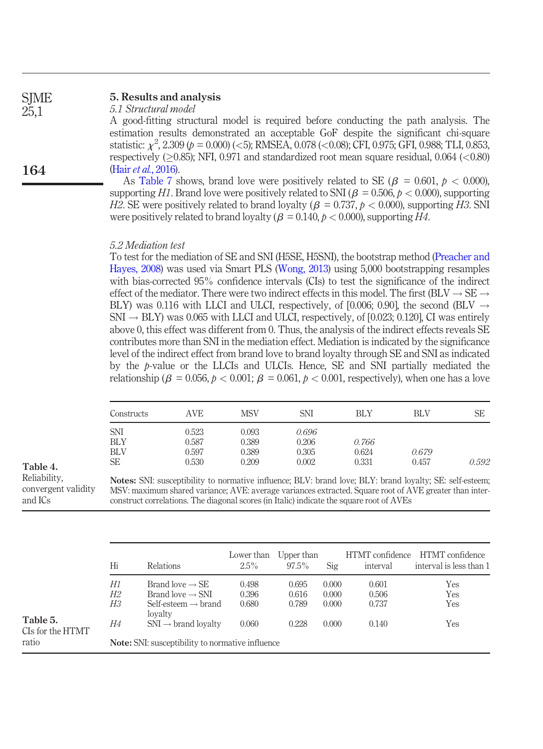#### 5. Results and analysis **SIME**

5.1 Structural model

A good-fitting structural model is required before conducting the path analysis. The estimation results demonstrated an acceptable GoF despite the significant chi-square statistic:  $\chi^2$ , 2.309 (p = 0.000) (<5); RMSEA, 0.078 (<0.08); CFI, 0.975; GFI, 0.988; TLI, 0.853, respectively  $(0.85)$ ; NFI, 0.971 and standardized root mean square residual, 0.064  $(< 0.80$ ) (Hair et al.[, 2016](#page-18-19)).

As [Table 7](#page-13-1) shows, brand love were positively related to SE ( $\beta = 0.601$ ,  $\beta < 0.000$ ). supporting H1. Brand love were positively related to SNI ( $\beta = 0.506$ ,  $p < 0.000$ ), supporting H2. SE were positively related to brand loyalty ( $\beta = 0.737$ ,  $\beta < 0.000$ ), supporting H3. SNI were positively related to brand loyalty ( $\beta = 0.140$ ,  $p < 0.000$ ), supporting H4.

### 5.2 Mediation test

To test for the mediation of SE and SNI (H5SE, H5SNI), the bootstrap method [\(Preacher and](#page-21-17) [Hayes, 2008\)](#page-21-17) was used via Smart PLS [\(Wong, 2013](#page-23-16)) using 5,000 bootstrapping resamples with bias-corrected 95% confidence intervals (CIs) to test the significance of the indirect effect of the mediator. There were two indirect effects in this model. The first (BLV  $\rightarrow$  SE  $\rightarrow$ BLY) was 0.116 with LLCI and ULCI, respectively, of [0.006; 0.90], the second (BLV  $\rightarrow$  $SNI \rightarrow BLY$ ) was 0.065 with LLCI and ULCI, respectively, of [0.023; 0.120], CI was entirely above 0, this effect was different from 0. Thus, the analysis of the indirect effects reveals SE contributes more than SNI in the mediation effect. Mediation is indicated by the significance level of the indirect effect from brand love to brand loyalty through SE and SNI as indicated by the p-value or the LLCIs and ULCIs. Hence, SE and SNI partially mediated the relationship ( $\beta = 0.056$ ,  $p < 0.001$ ;  $\beta = 0.061$ ,  $p < 0.001$ , respectively), when one has a love

| Constructs                             | AVE                     | MSV                     | <b>SNI</b>              | BLY            | <b>BLV</b> | SЕ    |
|----------------------------------------|-------------------------|-------------------------|-------------------------|----------------|------------|-------|
| <b>SNI</b><br><b>BLY</b><br><b>BLV</b> | 0.523<br>0.587<br>0.597 | 0.093<br>0.389<br>0.389 | 0.696<br>0.206<br>0.305 | 0.766<br>0.624 | 0.679      |       |
| <b>SE</b>                              | 0.530                   | 0.209                   | 0.002                   | 0.331          | 0.457      | 0.592 |

<span id="page-12-0"></span>Table 4. Reliability,

convergent validity and ICs

Notes: SNI: susceptibility to normative influence; BLV: brand love; BLY: brand loyalty; SE: self-esteem; MSV: maximum shared variance; AVE: average variances extracted. Square root of AVE greater than interconstruct correlations. The diagonal scores (in Italic) indicate the square root of AVEs

<span id="page-12-1"></span>

|                                       | Hi             | <b>Relations</b>                                                                                          | Lower than<br>$2.5\%$   | Upper than<br>$97.5\%$  | Sig                     | HTMT confidence<br>interval | HTMT confidence<br>interval is less than 1 |
|---------------------------------------|----------------|-----------------------------------------------------------------------------------------------------------|-------------------------|-------------------------|-------------------------|-----------------------------|--------------------------------------------|
|                                       | Н1<br>H2<br>ΗЗ | Brand love $\rightarrow$ SE<br>Brand love $\rightarrow$ SNI<br>Self-esteem $\rightarrow$ brand<br>lovalty | 0.498<br>0.396<br>0.680 | 0.695<br>0.616<br>0.789 | 0.000<br>0.000<br>0.000 | 0.601<br>0.506<br>0.737     | Yes<br>Yes<br>Yes                          |
| Table 5.<br>CIs for the HTMT<br>ratio | Н4             | $SNI \rightarrow brand$ lovalty<br><b>Note:</b> SNI: susceptibility to normative influence                | 0.060                   | 0.228                   | 0.000                   | 0.140                       | Yes                                        |

164

25,1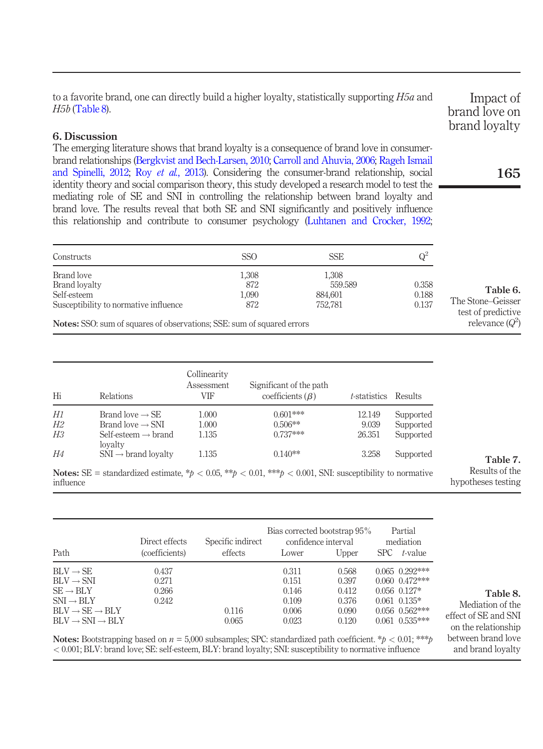to a favorite brand, one can directly build a higher loyalty, statistically supporting H5a and H5b [\(Table 8\)](#page-13-2).

# 6. Discussion

The emerging literature shows that brand loyalty is a consequence of brand love in consumerbrand relationships ([Bergkvist and Bech-Larsen, 2010;](#page-16-1) [Carroll and Ahuvia,](#page-17-0) 2006; [Rageh Ismail](#page-21-18) [and Spinelli, 2012;](#page-21-18) Roy et al.[, 2013](#page-21-1)). Considering the consumer-brand relationship, social identity theory and social comparison theory, this study developed a research model to test the mediating role of SE and SNI in controlling the relationship between brand loyalty and brand love. The results reveal that both SE and SNI significantly and positively influence this relationship and contribute to consumer psychology [\(Luhtanen and Crocker, 1992](#page-20-6);

| Constructs                                                                    | SSO   | <b>SSE</b> | $\mathbb{Q}^2$ |
|-------------------------------------------------------------------------------|-------|------------|----------------|
| Brand love                                                                    | 1,308 | 1,308      |                |
| Brand lovalty                                                                 | 872   | 559.589    | 0.358          |
| Self-esteem                                                                   | 1,090 | 884.601    | 0.188          |
| Susceptibility to normative influence                                         | 872   | 752.781    | 0.137          |
| <b>Notes:</b> SSO: sum of squares of observations; SSE: sum of squared errors |       |            |                |

| Hi        | Relations                                  | Collinearity<br>Assessment<br>VIF | Significant of the path<br>coefficients $(\beta)$                                                              | <i>t</i> -statistics | Results   |                                      |
|-----------|--------------------------------------------|-----------------------------------|----------------------------------------------------------------------------------------------------------------|----------------------|-----------|--------------------------------------|
| H1        | Brand love $\rightarrow$ SE                | 1.000                             | $0.601***$                                                                                                     | 12.149               | Supported |                                      |
| H2        | Brand love $\rightarrow$ SNI               | 1.000                             | $0.506**$                                                                                                      | 9.039                | Supported |                                      |
| ΗЗ        | Self-esteem $\rightarrow$ brand<br>lovalty | 1.135                             | $0.737***$                                                                                                     | 26.351               | Supported |                                      |
| H4        | $SNI \rightarrow brand$ lovalty            | 1.135                             | $0.140**$                                                                                                      | 3.258                | Supported | Table 7.                             |
| influence |                                            |                                   | <b>Notes:</b> SE = standardized estimate, *p < 0.05, **p < 0.01, **p < 0.001, SNI: susceptibility to normative |                      |           | Results of the<br>hypotheses testing |

|                                                                                                              | Direct effects | Specific indirect | Bias corrected bootstrap 95%<br>confidence interval |       |      | Partial<br>mediation |
|--------------------------------------------------------------------------------------------------------------|----------------|-------------------|-----------------------------------------------------|-------|------|----------------------|
| Path                                                                                                         | (coefficients) | effects           | Lower                                               | Upper | SPC. | t-value              |
| $BLV \rightarrow SE$                                                                                         | 0.437          |                   | 0.311                                               | 0.568 |      | $0.065$ $0.292***$   |
| $BLV \rightarrow SNI$                                                                                        | 0.271          |                   | 0.151                                               | 0.397 |      | $0.060$ $0.472***$   |
| $SE \rightarrow BLY$                                                                                         | 0.266          |                   | 0.146                                               | 0.412 |      | $0.056$ $0.127*$     |
| $SNI \rightarrow BLY$                                                                                        | 0.242          |                   | 0.109                                               | 0.376 |      | $0.061$ $0.135*$     |
| $BLV \rightarrow SE \rightarrow BLY$                                                                         |                | 0.116             | 0.006                                               | 0.090 |      | $0.056$ $0.562***$   |
| $BLV \rightarrow SNI \rightarrow BLY$                                                                        |                | 0.065             | 0.023                                               | 0.120 |      | $0.061$ $0.535***$   |
| Notage Resistration based on $y = 5.000$ subcomplex SDC standardized path coefficient $*$ $\wedge$ 0.01 $**$ |                |                   |                                                     |       |      |                      |

**Notes:** Bootstrapping based on  $n = 5,000$  subsamples; SPC: standardized path coefficient. \* $p < 0.01$ ; \*\*\* < 0.001; BLV: brand love; SE: self-esteem, BLY: brand loyalty; SNI: susceptibility to normative influence

Impact of brand love on brand loyalty

# 165

<span id="page-13-0"></span>The Stone–Geisser test of predictive relevance  $(Q^2)$ 

Table 6.

<span id="page-13-2"></span><span id="page-13-1"></span>Table 8. Mediation of the effect of SE and SNI on the relationship between brand love and brand loyalty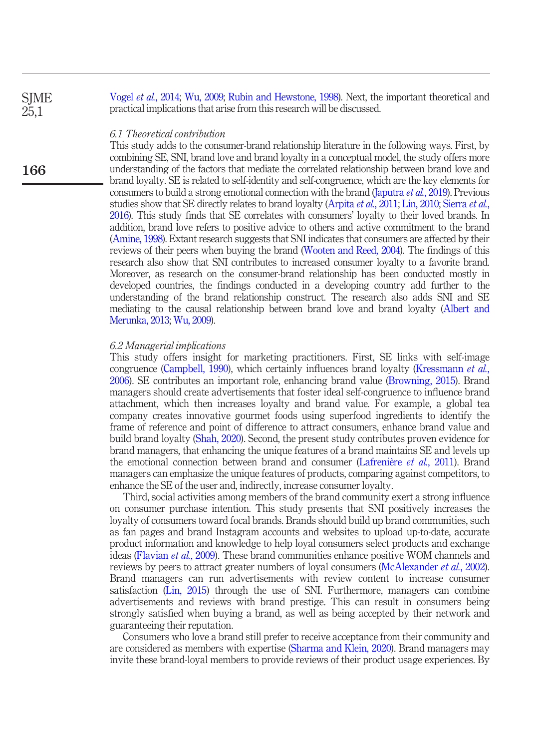**SIME** 25,1

166

Vogel et al.[, 2014](#page-23-2); [Wu, 2009;](#page-23-0) [Rubin and Hewstone, 1998](#page-21-5)). Next, the important theoretical and practical implications that arise from this research will be discussed.

#### 6.1 Theoretical contribution

This study adds to the consumer-brand relationship literature in the following ways. First, by combining SE, SNI, brand love and brand loyalty in a conceptual model, the study offers more understanding of the factors that mediate the correlated relationship between brand love and brand loyalty. SE is related to self-identity and self-congruence, which are the key elements for consumers to build a strong emotional connection with the brand [\(Japutra](#page-19-16) et al., 2019). Previous studies show that SE directly relates to brand loyalty ([Arpita](#page-16-6) et al., 2011; [Lin, 2010;](#page-20-18) [Sierra](#page-22-5) et al., [2016\)](#page-22-5). This study finds that SE correlates with consumers' loyalty to their loved brands. In addition, brand love refers to positive advice to others and active commitment to the brand [\(Amine, 1998\)](#page-16-9). Extant research suggests that SNI indicates that consumers are affected by their reviews of their peers when buying the brand ([Wooten and Reed, 2004\)](#page-23-6). The findings of this research also show that SNI contributes to increased consumer loyalty to a favorite brand. Moreover, as research on the consumer-brand relationship has been conducted mostly in developed countries, the findings conducted in a developing country add further to the understanding of the brand relationship construct. The research also adds SNI and SE mediating to the causal relationship between brand love and brand loyalty [\(Albert and](#page-15-0) [Merunka, 2013;](#page-15-0) [Wu, 2009\)](#page-23-0).

# 6.2 Managerial implications

This study offers insight for marketing practitioners. First, SE links with self-image congruence ([Campbell, 1990](#page-17-2)), which certainly influences brand loyalty [\(Kressmann](#page-19-0) et al., [2006](#page-19-0)). SE contributes an important role, enhancing brand value [\(Browning, 2015\)](#page-17-21). Brand managers should create advertisements that foster ideal self-congruence to influence brand attachment, which then increases loyalty and brand value. For example, a global tea company creates innovative gourmet foods using superfood ingredients to identify the frame of reference and point of difference to attract consumers, enhance brand value and build brand loyalty ([Shah, 2020\)](#page-22-15). Second, the present study contributes proven evidence for brand managers, that enhancing the unique features of a brand maintains SE and levels up the emotional connection between brand and consumer ([Lafrenière](#page-20-8) *et al.*, 2011). Brand managers can emphasize the unique features of products, comparing against competitors, to enhance the SE of the user and, indirectly, increase consumer loyalty.

Third, social activities among members of the brand community exert a strong influence on consumer purchase intention. This study presents that SNI positively increases the loyalty of consumers toward focal brands. Brands should build up brand communities, such as fan pages and brand Instagram accounts and websites to upload up-to-date, accurate product information and knowledge to help loyal consumers select products and exchange ideas [\(Flavian](#page-18-12) et al., 2009). These brand communities enhance positive WOM channels and reviews by peers to attract greater numbers of loyal consumers ([McAlexander](#page-20-19) et al., 2002). Brand managers can run advertisements with review content to increase consumer satisfaction ([Lin, 2015\)](#page-20-20) through the use of SNI. Furthermore, managers can combine advertisements and reviews with brand prestige. This can result in consumers being strongly satisfied when buying a brand, as well as being accepted by their network and guaranteeing their reputation.

Consumers who love a brand still prefer to receive acceptance from their community and are considered as members with expertise [\(Sharma and Klein, 2020](#page-22-14)). Brand managers may invite these brand-loyal members to provide reviews of their product usage experiences. By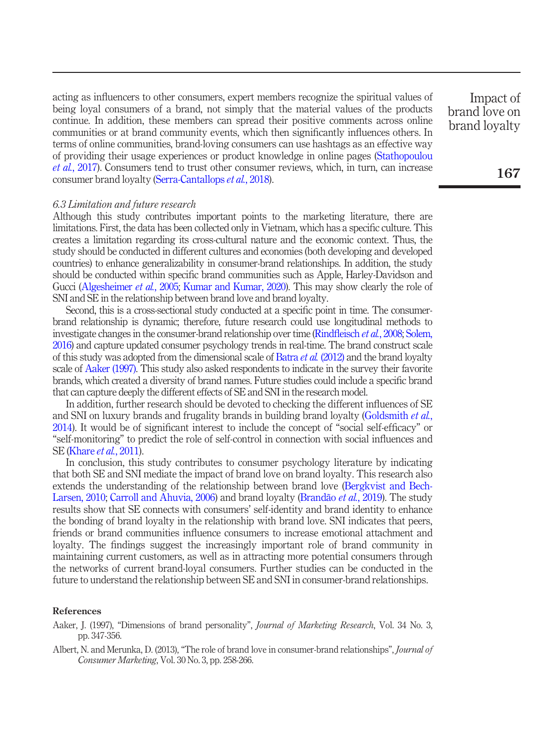acting as influencers to other consumers, expert members recognize the spiritual values of being loyal consumers of a brand, not simply that the material values of the products continue. In addition, these members can spread their positive comments across online communities or at brand community events, which then significantly influences others. In terms of online communities, brand-loving consumers can use hashtags as an effective way of providing their usage experiences or product knowledge in online pages ([Stathopoulou](#page-22-16) et al.[, 2017](#page-22-16)). Consumers tend to trust other consumer reviews, which, in turn, can increase consumer brand loyalty ([Serra-Cantallops](#page-22-17) et al., 2018).

#### 6.3 Limitation and future research

Although this study contributes important points to the marketing literature, there are limitations. First, the data has been collected only in Vietnam, which has a specific culture. This creates a limitation regarding its cross-cultural nature and the economic context. Thus, the study should be conducted in different cultures and economies (both developing and developed countries) to enhance generalizability in consumer-brand relationships. In addition, the study should be conducted within specific brand communities such as Apple, Harley-Davidson and Gucci [\(Algesheimer](#page-16-5) et al., 2005; [Kumar and Kumar, 2020\)](#page-19-7). This may show clearly the role of SNI and SE in the relationship between brand love and brand loyalty.

Second, this is a cross-sectional study conducted at a specific point in time. The consumerbrand relationship is dynamic; therefore, future research could use longitudinal methods to investigate changes in the consumer-brand relationship over time (Rindfleisch et al.[, 2008](#page-21-19); [Solem,](#page-22-18) [2016\)](#page-22-18) and capture updated consumer psychology trends in real-time. The brand construct scale of this study was adopted from the dimensional scale of Batra  $et$  al. [\(2012\)](#page-16-11) and the brand loyalty scale of [Aaker \(1997\)](#page-15-1). This study also asked respondents to indicate in the survey their favorite brands, which created a diversity of brand names. Future studies could include a specific brand that can capture deeply the different effects of SE and SNI in the research model.

In addition, further research should be devoted to checking the different influences of SE and SNI on luxury brands and frugality brands in building brand loyalty [\(Goldsmith](#page-18-20) et al., [2014\)](#page-18-20). It would be of significant interest to include the concept of "social self-efficacy" or "self-monitoring" to predict the role of self-control in connection with social influences and SE [\(Khare](#page-19-8) *et al.*, 2011).

In conclusion, this study contributes to consumer psychology literature by indicating that both SE and SNI mediate the impact of brand love on brand loyalty. This research also extends the understanding of the relationship between brand love [\(Bergkvist and Bech-](#page-16-1)[Larsen, 2010;](#page-16-1) [Carroll and Ahuvia, 2006](#page-17-0)) and brand loyalty [\(Brandão](#page-17-8) et al., 2019). The study results show that SE connects with consumers' self-identity and brand identity to enhance the bonding of brand loyalty in the relationship with brand love. SNI indicates that peers, friends or brand communities influence consumers to increase emotional attachment and loyalty. The findings suggest the increasingly important role of brand community in maintaining current customers, as well as in attracting more potential consumers through the networks of current brand-loyal consumers. Further studies can be conducted in the future to understand the relationship between SE and SNI in consumer-brand relationships.

# References

- <span id="page-15-1"></span>Aaker, J. (1997), "Dimensions of brand personality", Journal of Marketing Research, Vol. 34 No. 3, pp. 347-356.
- <span id="page-15-0"></span>Albert, N. and Merunka, D. (2013), "The role of brand love in consumer-brand relationships", Journal of Consumer Marketing, Vol. 30 No. 3, pp. 258-266.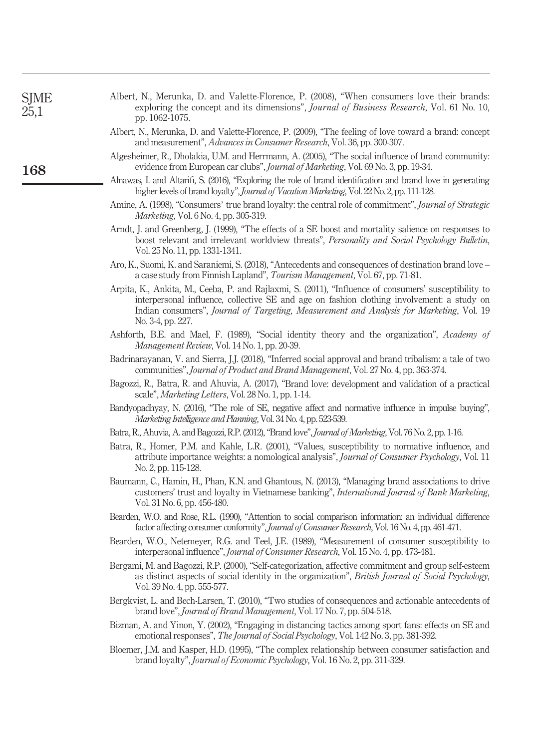| $\mathbf{3}$ | Algesheimer, R., Dholakia, U.M. and Herrmann, A. (2005), "The social influence of brand community:<br>evidence from European car clubs", Journal of Marketing, Vol. 69 No. 3, pp. 19-34.                                                                                                                             |
|--------------|----------------------------------------------------------------------------------------------------------------------------------------------------------------------------------------------------------------------------------------------------------------------------------------------------------------------|
|              | Alnawas, I. and Altarifi, S. (2016), "Exploring the role of brand identification and brand love in generating<br>higher levels of brand loyalty", Journal of Vacation Marketing, Vol. 22 No. 2, pp. 111-128.                                                                                                         |
|              | Amine, A. (1998), "Consumers' true brand loyalty: the central role of commitment", Journal of Strategic<br><i>Marketing</i> , Vol. 6 No. 4, pp. 305-319.                                                                                                                                                             |
|              | Arndt, J. and Greenberg, J. (1999), "The effects of a SE boost and mortality salience on responses to<br>boost relevant and irrelevant worldview threats", Personality and Social Psychology Bulletin,<br>Vol. 25 No. 11, pp. 1331-1341.                                                                             |
|              | Aro, K., Suomi, K. and Saraniemi, S. (2018), "Antecedents and consequences of destination brand love -<br>a case study from Finnish Lapland", Tourism Management, Vol. 67, pp. 71-81.                                                                                                                                |
|              | Arpita, K., Ankita, M., Ceeba, P. and Rajlaxmi, S. (2011), "Influence of consumers' susceptibility to<br>interpersonal influence, collective SE and age on fashion clothing involvement: a study on<br>Indian consumers", Journal of Targeting, Measurement and Analysis for Marketing, Vol. 19<br>No. 3-4, pp. 227. |
|              | Ashforth, B.E. and Mael, F. (1989), "Social identity theory and the organization", Academy of<br>Management Review, Vol. 14 No. 1, pp. 20-39.                                                                                                                                                                        |
|              | Badrinarayanan, V. and Sierra, J.J. (2018), "Inferred social approval and brand tribalism: a tale of two<br>communities", <i>Journal of Product and Brand Management</i> , Vol. 27 No. 4, pp. 363-374.                                                                                                               |
|              | Bagozzi, R., Batra, R. and Ahuvia, A. (2017), "Brand love: development and validation of a practical<br>scale", <i>Marketing Letters</i> , Vol. 28 No. 1, pp. 1-14.                                                                                                                                                  |
|              | Bandyopadhyay, N. (2016), "The role of SE, negative affect and normative influence in impulse buying",<br>Marketing Intelligence and Planning, Vol. 34 No. 4, pp. 523-539.                                                                                                                                           |
|              | Batra, R., Ahuvia, A. and Bagozzi, R.P. (2012), "Brand love", Journal of Marketing, Vol. 76 No. 2, pp. 1-16.                                                                                                                                                                                                         |
|              | Batra, R., Homer, P.M. and Kahle, L.R. (2001), "Values, susceptibility to normative influence, and<br>attribute importance weights: a nomological analysis", <i>Journal of Consumer Psychology</i> , Vol. 11<br>No. 2, pp. 115-128.                                                                                  |
|              | Baumann, C., Hamin, H., Phan, K.N. and Ghantous, N. (2013), "Managing brand associations to drive<br>customers' trust and loyalty in Vietnamese banking", International Journal of Bank Marketing,<br>Vol. 31 No. 6, pp. 456-480.                                                                                    |
|              | Bearden, W.O. and Rose, R.L. (1990), "Attention to social comparison information: an individual difference<br>factor affecting consumer conformity", Journal of Consumer Research, Vol. 16 No. 4, pp. 461-471.                                                                                                       |
|              | Bearden, W.O., Netemeyer, R.G. and Teel, J.E. (1989), "Measurement of consumer susceptibility to<br>interpersonal influence", <i>Journal of Consumer Research</i> , Vol. 15 No. 4, pp. 473-481.                                                                                                                      |
|              | Bergami, M. and Bagozzi, R.P. (2000), "Self-categorization, affective commitment and group self-esteem<br>as distinct aspects of social identity in the organization", British Journal of Social Psychology,<br>Vol. 39 No. 4, pp. 555-577.                                                                          |
|              | Bergkvist, L. and Bech-Larsen, T. (2010), "Two studies of consequences and actionable antecedents of<br>brand love", Journal of Brand Management, Vol. 17 No. 7, pp. 504-518.                                                                                                                                        |
|              | Bizman, A. and Yinon, Y. (2002), "Engaging in distancing tactics among sport fans: effects on SE and<br>emotional responses", The Journal of Social Psychology, Vol. 142 No. 3, pp. 381-392.                                                                                                                         |
|              | Bloemer, J.M. and Kasper, H.D. (1995), "The complex relationship between consumer satisfaction and<br>brand loyalty", Journal of Economic Psychology, Vol. 16 No. 2, pp. 311-329.                                                                                                                                    |
|              |                                                                                                                                                                                                                                                                                                                      |
|              |                                                                                                                                                                                                                                                                                                                      |
|              |                                                                                                                                                                                                                                                                                                                      |
|              |                                                                                                                                                                                                                                                                                                                      |

<span id="page-16-2"></span>Albert, N., Merunka, D. and Valette-Florence, P. (2008), "When consumers love their brands: exploring the concept and its dimensions", *Journal of Business Research*, Vol. 61 No. 10,

<span id="page-16-16"></span><span id="page-16-5"></span>Albert, N., Merunka, D. and Valette-Florence, P. (2009), "The feeling of love toward a brand: concept

<span id="page-16-15"></span><span id="page-16-9"></span><span id="page-16-6"></span><span id="page-16-3"></span><span id="page-16-0"></span>and measurement", Advances in Consumer Research, Vol. 36, pp. 300-307.

<span id="page-16-20"></span><span id="page-16-19"></span><span id="page-16-18"></span><span id="page-16-17"></span><span id="page-16-14"></span><span id="page-16-13"></span><span id="page-16-12"></span><span id="page-16-11"></span><span id="page-16-10"></span><span id="page-16-8"></span><span id="page-16-7"></span><span id="page-16-4"></span><span id="page-16-1"></span>168

SJME 25,1

pp. 1062-1075.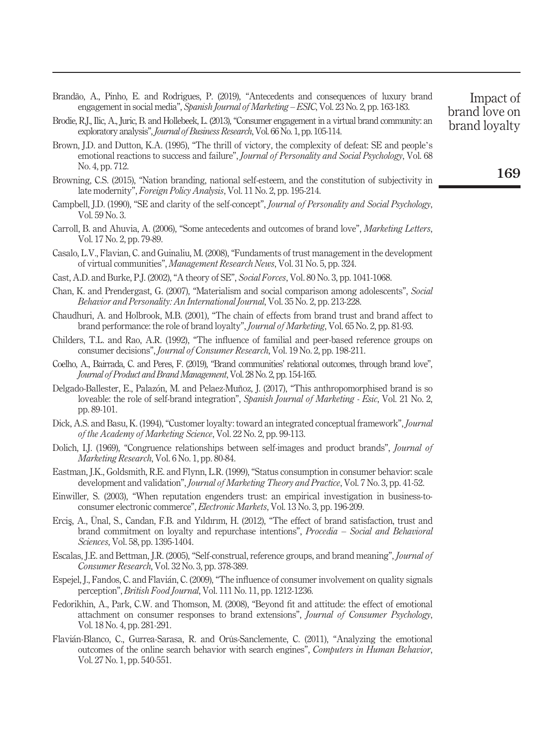<span id="page-17-8"></span>

|  |  |  |  |  | Brandão, A., Pinho, E. and Rodrigues, P. (2019), "Antecedents and consequences of luxury brand |  |
|--|--|--|--|--|------------------------------------------------------------------------------------------------|--|
|  |  |  |  |  | engagement in social media", Spanish Journal of Marketing – ESIC, Vol. 23 No. 2, pp. 163-183.  |  |

<span id="page-17-14"></span>Brodie, R.J., Ilic, A., Juric, B. and Hollebeek, L. (2013),"Consumer engagement in a virtual brand community: an exploratory analysis", *Journal of Business Research*, Vol. 66 No. 1, pp. 105-114.

- <span id="page-17-3"></span>Brown, J.D. and Dutton, K.A. (1995), "The thrill of victory, the complexity of defeat: SE and people's emotional reactions to success and failure", Journal of Personality and Social Psychology, Vol. 68 No. 4, pp. 712.
- <span id="page-17-21"></span>Browning, C.S. (2015), "Nation branding, national self-esteem, and the constitution of subjectivity in late modernity", Foreign Policy Analysis, Vol. 11 No. 2, pp. 195-214.
- <span id="page-17-2"></span>Campbell, I.D. (1990), "SE and clarity of the self-concept", *Journal of Personality and Social Psychology*, Vol. 59 No. 3.
- <span id="page-17-0"></span>Carroll, B. and Ahuvia, A. (2006), "Some antecedents and outcomes of brand love", Marketing Letters, Vol. 17 No. 2, pp. 79-89.
- <span id="page-17-17"></span>Casalo, L.V., Flavian, C. and Guinaliu, M. (2008), "Fundaments of trust management in the development of virtual communities", Management Research News, Vol. 31 No. 5, pp. 324.
- <span id="page-17-16"></span>Cast, A.D. and Burke, P.J. (2002), "A theory of SE", Social Forces, Vol. 80 No. 3, pp. 1041-1068.
- <span id="page-17-7"></span>Chan, K. and Prendergast, G. (2007), "Materialism and social comparison among adolescents", Social Behavior and Personality: An International Journal, Vol. 35 No. 2, pp. 213-228.
- <span id="page-17-10"></span>Chaudhuri, A. and Holbrook, M.B. (2001), "The chain of effects from brand trust and brand affect to brand performance: the role of brand loyalty", Journal of Marketing, Vol. 65 No. 2, pp. 81-93.
- <span id="page-17-4"></span>Childers, T.L. and Rao, A.R. (1992), "The influence of familial and peer-based reference groups on consumer decisions", Journal of Consumer Research, Vol. 19 No. 2, pp. 198-211.
- <span id="page-17-5"></span>Coelho, A., Bairrada, C. and Peres, F. (2019), "Brand communities' relational outcomes, through brand love", Journal of Product and Brand Management, Vol. 28 No. 2, pp. 154-165.
- <span id="page-17-1"></span>Delgado-Ballester, E., Palazon, M. and Pelaez-Muñoz, J. (2017), "This anthropomorphised brand is so loveable: the role of self-brand integration", Spanish Journal of Marketing - Esic, Vol. 21 No. 2, pp. 89-101.
- <span id="page-17-9"></span>Dick, A.S. and Basu, K. (1994), "Customer loyalty: toward an integrated conceptual framework", Journal of the Academy of Marketing Science, Vol. 22 No. 2, pp. 99-113.
- <span id="page-17-12"></span>Dolich, I.J. (1969), "Congruence relationships between self-images and product brands", *Journal of* Marketing Research, Vol. 6 No. 1, pp. 80-84.
- <span id="page-17-20"></span>Eastman, J.K., Goldsmith, R.E. and Flynn, L.R. (1999), "Status consumption in consumer behavior: scale development and validation", *Journal of Marketing Theory and Practice*, Vol. 7 No. 3, pp. 41-52.
- <span id="page-17-18"></span>Einwiller, S. (2003), "When reputation engenders trust: an empirical investigation in business-toconsumer electronic commerce", Electronic Markets, Vol. 13 No. 3, pp. 196-209.
- <span id="page-17-19"></span>Ercis, A., Ünal, S., Candan, F.B. and Yıldırım, H. (2012), "The effect of brand satisfaction, trust and brand commitment on loyalty and repurchase intentions", Procedia – Social and Behavioral Sciences, Vol. 58, pp. 1395-1404.
- <span id="page-17-13"></span>Escalas, J.E. and Bettman, J.R. (2005), "Self-construal, reference groups, and brand meaning", Journal of Consumer Research, Vol. 32 No. 3, pp. 378-389.
- <span id="page-17-11"></span>Espejel, J., Fandos, C. and Flavian, C. (2009), "The influence of consumer involvement on quality signals perception", British Food Journal, Vol. 111 No. 11, pp. 1212-1236.
- <span id="page-17-15"></span>Fedorikhin, A., Park, C.W. and Thomson, M. (2008), "Beyond fit and attitude: the effect of emotional attachment on consumer responses to brand extensions", Journal of Consumer Psychology, Vol. 18 No. 4, pp. 281-291.
- <span id="page-17-6"></span>Flavian-Blanco, C., Gurrea-Sarasa, R. and Orús-Sanclemente, C. (2011), "Analyzing the emotional outcomes of the online search behavior with search engines", Computers in Human Behavior, Vol. 27 No. 1, pp. 540-551.

brand love on brand loyalty

Impact of

169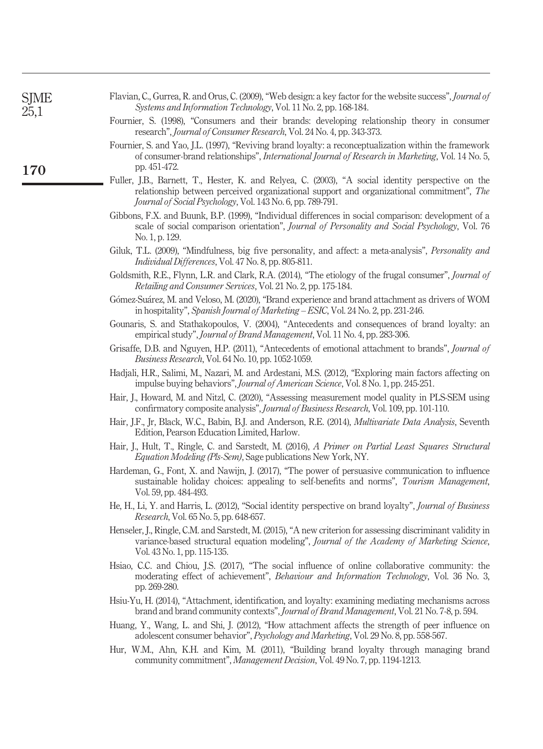<span id="page-18-20"></span><span id="page-18-19"></span><span id="page-18-18"></span><span id="page-18-17"></span><span id="page-18-16"></span><span id="page-18-15"></span><span id="page-18-14"></span><span id="page-18-13"></span><span id="page-18-12"></span><span id="page-18-11"></span><span id="page-18-10"></span><span id="page-18-9"></span><span id="page-18-8"></span><span id="page-18-7"></span><span id="page-18-6"></span><span id="page-18-5"></span><span id="page-18-4"></span><span id="page-18-3"></span><span id="page-18-2"></span><span id="page-18-1"></span><span id="page-18-0"></span>

| SJME<br>25,1 | Flavian, C., Gurrea, R. and Orus, C. (2009), "Web design: a key factor for the website success", <i>Journal of</i><br>Systems and Information Technology, Vol. 11 No. 2, pp. 168-184.                                                                         |
|--------------|---------------------------------------------------------------------------------------------------------------------------------------------------------------------------------------------------------------------------------------------------------------|
|              | Fournier, S. (1998), "Consumers and their brands: developing relationship theory in consumer<br>research", <i>Journal of Consumer Research</i> , Vol. 24 No. 4, pp. 343-373.                                                                                  |
| <b>170</b>   | Fournier, S. and Yao, J.L. (1997), "Reviving brand loyalty: a reconceptualization within the framework<br>of consumer-brand relationships", <i>International Journal of Research in Marketing</i> , Vol. 14 No. 5,<br>pp. 451-472.                            |
|              | Fuller, J.B., Barnett, T., Hester, K. and Relyea, C. (2003), "A social identity perspective on the<br>relationship between perceived organizational support and organizational commitment", The<br>Journal of Social Psychology, Vol. 143 No. 6, pp. 789-791. |
|              | Gibbons, F.X. and Buunk, B.P. (1999), "Individual differences in social comparison: development of a<br>scale of social comparison orientation", Journal of Personality and Social Psychology, Vol. 76<br>No. 1, p. 129.                                      |
|              | Giluk, T.L. (2009), "Mindfulness, big five personality, and affect: a meta-analysis", <i>Personality and</i><br><i>Individual Differences, Vol. 47 No. 8, pp. 805-811.</i>                                                                                    |
|              | Goldsmith, R.E., Flynn, L.R. and Clark, R.A. (2014), "The etiology of the frugal consumer", <i>Journal of</i><br>Retailing and Consumer Services, Vol. 21 No. 2, pp. 175-184.                                                                                 |
|              | Gómez-Suárez, M. and Veloso, M. (2020), "Brand experience and brand attachment as drivers of WOM<br>in hospitality", Spanish Journal of Marketing – ESIC, Vol. 24 No. 2, pp. 231-246.                                                                         |
|              | Gounaris, S. and Stathakopoulos, V. (2004), "Antecedents and consequences of brand loyalty: an<br>empirical study", Journal of Brand Management, Vol. 11 No. 4, pp. 283-306.                                                                                  |
|              | Grisaffe, D.B. and Nguyen, H.P. (2011), "Antecedents of emotional attachment to brands", <i>Journal of</i><br>Business Research, Vol. 64 No. 10, pp. 1052-1059.                                                                                               |
|              | Hadjali, H.R., Salimi, M., Nazari, M. and Ardestani, M.S. (2012), "Exploring main factors affecting on<br>impulse buying behaviors", Journal of American Science, Vol. 8 No. 1, pp. 245-251.                                                                  |
|              | Hair, J., Howard, M. and Nitzl, C. (2020), "Assessing measurement model quality in PLS-SEM using<br>confirmatory composite analysis", Journal of Business Research, Vol. 109, pp. 101-110.                                                                    |
|              | Hair, J.F., Jr., Black, W.C., Babin, B.J. and Anderson, R.E. (2014), <i>Multivariate Data Analysis</i> , Seventh<br>Edition, Pearson Education Limited, Harlow.                                                                                               |
|              | Hair, J., Hult, T., Ringle, C. and Sarstedt, M. (2016), A Primer on Partial Least Squares Structural<br><i>Equation Modeling (Pls-Sem)</i> , Sage publications New York, NY.                                                                                  |
|              | Hardeman, G., Font, X. and Nawijn, J. (2017), "The power of persuasive communication to influence<br>sustainable holiday choices: appealing to self-benefits and norms", Tourism Management,<br>Vol. 59, pp. 484-493.                                         |
|              | He, H., Li, Y. and Harris, L. (2012), "Social identity perspective on brand loyalty", <i>Journal of Business</i><br>Research, Vol. 65 No. 5, pp. 648-657.                                                                                                     |
|              | Henseler, J., Ringle, C.M. and Sarstedt, M. (2015), "A new criterion for assessing discriminant validity in<br>variance-based structural equation modeling", Journal of the Academy of Marketing Science,<br>Vol. 43 No. 1, pp. 115-135.                      |
|              | Hsiao, C.C. and Chiou, J.S. (2017), "The social influence of online collaborative community: the<br>moderating effect of achievement", Behaviour and Information Technology, Vol. 36 No. 3,<br>pp. 269-280.                                                   |
|              | Hsiu-Yu, H. (2014), "Attachment, identification, and loyalty: examining mediating mechanisms across<br>brand and brand community contexts", <i>Journal of Brand Management</i> , Vol. 21 No. 7-8, p. 594.                                                     |
|              | Huang, Y., Wang, L. and Shi, J. (2012), "How attachment affects the strength of peer influence on<br>adolescent consumer behavior", Psychology and Marketing, Vol. 29 No. 8, pp. 558-567.                                                                     |
|              | Hur, W.M., Ahn, K.H. and Kim, M. (2011), "Building brand loyalty through managing brand<br>community commitment", Management Decision, Vol. 49 No. 7, pp. 1194-1213.                                                                                          |
|              |                                                                                                                                                                                                                                                               |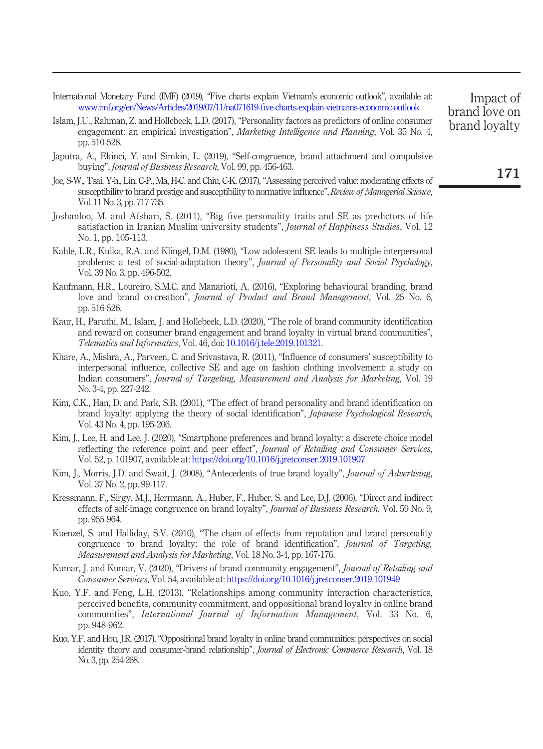<span id="page-19-15"></span>International Monetary Fund (IMF) (2019), "Five charts explain Vietnam's economic outlook", available at: [www.imf.org/en/News/Articles/2019/07/11/na071619-](http://www.imf.org/en/News/Articles/2019/07/11/na071619-five-charts-explain-vietnams-economic-outlook)five-charts-explain-vietnams-economic-outlook

- <span id="page-19-12"></span>Islam, J.U., Rahman, Z. and Hollebeek, L.D. (2017), "Personality factors as predictors of online consumer engagement: an empirical investigation", *Marketing Intelligence and Planning*, Vol. 35 No. 4, pp. 510-528.
- <span id="page-19-16"></span>Japutra, A., Ekinci, Y. and Simkin, L. (2019), "Self-congruence, brand attachment and compulsive buying", Journal of Business Research, Vol. 99, pp. 456-463.
- <span id="page-19-9"></span>Joe, S-W., Tsai, Y-h., Lin, C-P., Ma, H-C. and Chiu, C-K. (2017),"Assessing perceived value: moderating effects of susceptibility to brand prestige and susceptibility to normative influence", Review of Managerial Science, Vol. 11 No. 3, pp. 717-735.
- <span id="page-19-2"></span>Joshanloo, M. and Afshari, S. (2011), "Big five personality traits and SE as predictors of life satisfaction in Iranian Muslim university students", *Journal of Happiness Studies*, Vol. 12 No. 1, pp. 105-113.
- <span id="page-19-13"></span>Kahle, L.R., Kulka, R.A. and Klingel, D.M. (1980), "Low adolescent SE leads to multiple interpersonal problems: a test of social-adaptation theory", Journal of Personality and Social Psychology, Vol. 39 No. 3, pp. 496-502.
- <span id="page-19-14"></span>Kaufmann, H.R., Loureiro, S.M.C. and Manarioti, A. (2016), "Exploring behavioural branding, brand love and brand co-creation", Journal of Product and Brand Management, Vol. 25 No. 6, pp. 516-526.
- <span id="page-19-4"></span>Kaur, H., Paruthi, M., Islam, J. and Hollebeek, L.D. (2020), "The role of brand community identification and reward on consumer brand engagement and brand loyalty in virtual brand communities", Telematics and Informatics, Vol. 46, doi: [10.1016/j.tele.2019.101321.](http://dx.doi.org/10.1016/j.tele.2019.101321)
- <span id="page-19-8"></span>Khare, A., Mishra, A., Parveen, C. and Srivastava, R. (2011), "Influence of consumers' susceptibility to interpersonal influence, collective SE and age on fashion clothing involvement: a study on Indian consumers", Journal of Targeting, Measurement and Analysis for Marketing, Vol. 19 No. 3-4, pp. 227-242.
- <span id="page-19-1"></span>Kim, C.K., Han, D. and Park, S.B. (2001), "The effect of brand personality and brand identification on brand loyalty: applying the theory of social identification", Japanese Psychological Research, Vol. 43 No. 4, pp. 195-206.
- <span id="page-19-5"></span>Kim, J., Lee, H. and Lee, J. (2020), "Smartphone preferences and brand loyalty: a discrete choice model reflecting the reference point and peer effect", Journal of Retailing and Consumer Services, Vol. 52, p. 101907, available at: <https://doi.org/10.1016/j.jretconser.2019.101907>
- <span id="page-19-10"></span>Kim, J., Morris, J.D. and Swait, J. (2008), "Antecedents of true brand loyalty", *Journal of Advertising*, Vol. 37 No. 2, pp. 99-117.
- <span id="page-19-0"></span>Kressmann, F., Sirgy, M.J., Herrmann, A., Huber, F., Huber, S. and Lee, D.J. (2006), "Direct and indirect effects of self-image congruence on brand loyalty", Journal of Business Research, Vol. 59 No. 9, pp. 955-964.
- <span id="page-19-3"></span>Kuenzel, S. and Halliday, S.V. (2010), "The chain of effects from reputation and brand personality congruence to brand loyalty: the role of brand identification", Journal of Targeting, Measurement and Analysis for Marketing, Vol. 18 No. 3-4, pp. 167-176.
- <span id="page-19-7"></span>Kumar, J. and Kumar, V. (2020), "Drivers of brand community engagement", Journal of Retailing and Consumer Services, Vol. 54, available at: <https://doi.org/10.1016/j.jretconser.2019.101949>
- <span id="page-19-6"></span>Kuo, Y.F. and Feng, L.H. (2013), "Relationships among community interaction characteristics, perceived benefits, community commitment, and oppositional brand loyalty in online brand communities", International Journal of Information Management, Vol. 33 No. 6, pp. 948-962.
- <span id="page-19-11"></span>Kuo, Y.F. and Hou, J.R. (2017),"Oppositional brand loyalty in online brand communities: perspectives on social identity theory and consumer-brand relationship", Journal of Electronic Commerce Research, Vol. 18 No. 3, pp. 254-268.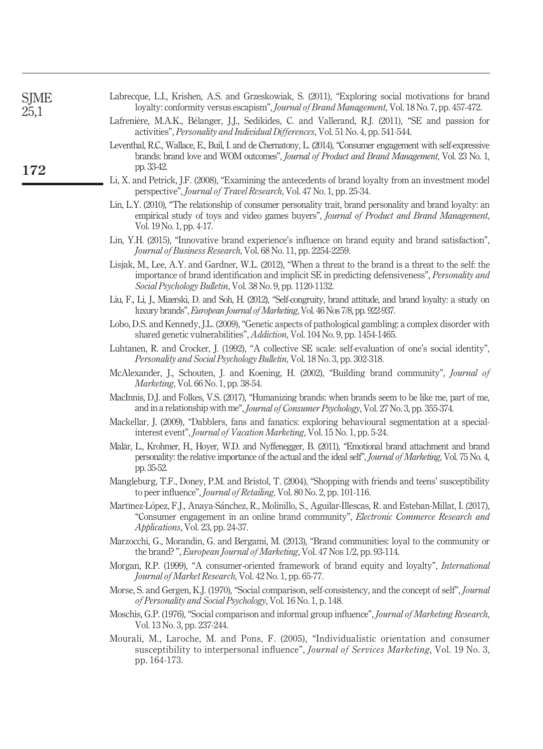<span id="page-20-20"></span><span id="page-20-19"></span><span id="page-20-18"></span><span id="page-20-17"></span><span id="page-20-16"></span><span id="page-20-15"></span><span id="page-20-14"></span><span id="page-20-13"></span><span id="page-20-12"></span><span id="page-20-11"></span><span id="page-20-10"></span><span id="page-20-9"></span><span id="page-20-8"></span><span id="page-20-7"></span><span id="page-20-6"></span><span id="page-20-5"></span><span id="page-20-4"></span><span id="page-20-3"></span><span id="page-20-2"></span><span id="page-20-1"></span><span id="page-20-0"></span>

| SJME<br>25,1 | Labrecque, L.I., Krishen, A.S. and Grzeskowiak, S. (2011), "Exploring social motivations for brand<br>loyalty: conformity versus escapism", Journal of Brand Management, Vol. 18 No. 7, pp. 457-472.                                                                             |
|--------------|----------------------------------------------------------------------------------------------------------------------------------------------------------------------------------------------------------------------------------------------------------------------------------|
|              | Lafrenière, M.A.K., Bélanger, J.J., Sedikides, C. and Vallerand, R.J. (2011), "SE and passion for<br>activities", Personality and Individual Differences, Vol. 51 No. 4, pp. 541-544.                                                                                            |
| 172          | Leventhal, R.C., Wallace, E., Buil, I. and de Chernatony, L. (2014), "Consumer engagement with self-expressive<br>brands: brand love and WOM outcomes", Journal of Product and Brand Management, Vol. 23 No. 1,<br>pp. 33-42.                                                    |
|              | Li, X. and Petrick, J.F. (2008), "Examining the antecedents of brand loyalty from an investment model<br>perspective", Journal of Travel Research, Vol. 47 No. 1, pp. 25-34.                                                                                                     |
|              | Lin, L.Y. (2010), "The relationship of consumer personality trait, brand personality and brand loyalty: an<br>empirical study of toys and video games buyers", Journal of Product and Brand Management,<br>Vol. 19 No. 1, pp. 4-17.                                              |
|              | Lin, Y.H. (2015), "Innovative brand experience's influence on brand equity and brand satisfaction",<br>Journal of Business Research, Vol. 68 No. 11, pp. 2254-2259.                                                                                                              |
|              | Lisjak, M., Lee, A.Y. and Gardner, W.L. (2012), "When a threat to the brand is a threat to the self: the<br>importance of brand identification and implicit SE in predicting defensiveness", <i>Personality and</i><br>Social Psychology Bulletin, Vol. 38 No. 9, pp. 1120-1132. |
|              | Liu, F., Li, J., Mizerski, D. and Soh, H. (2012), "Self-congruity, brand attitude, and brand loyalty: a study on<br>luxury brands", <i>European Journal of Marketing</i> , Vol. 46 Nos 7/8, pp. 922-937.                                                                         |
|              | Lobo, D.S. and Kennedy, J.L. (2009), "Genetic aspects of pathological gambling: a complex disorder with<br>shared genetic vulnerabilities", <i>Addiction</i> , Vol. 104 No. 9, pp. 1454-1465.                                                                                    |
|              | Luhtanen, R. and Crocker, J. (1992), "A collective SE scale: self-evaluation of one's social identity",<br>Personality and Social Psychology Bulletin, Vol. 18 No. 3, pp. 302-318.                                                                                               |
|              | McAlexander, J., Schouten, J. and Koening, H. (2002), "Building brand community", Journal of<br>Marketing, Vol. 66 No. 1, pp. 38-54.                                                                                                                                             |
|              | MacInnis, D.J. and Folkes, V.S. (2017), "Humanizing brands: when brands seem to be like me, part of me,<br>and in a relationship with me", Journal of Consumer Psychology, Vol. 27 No. 3, pp. 355-374.                                                                           |
|              | Mackellar, J. (2009), "Dabblers, fans and fanatics: exploring behavioural segmentation at a special-<br>interest event", Journal of Vacation Marketing, Vol. 15 No. 1, pp. 5-24.                                                                                                 |
|              | Malär, L., Krohmer, H., Hoyer, W.D. and Nyffenegger, B. (2011), "Emotional brand attachment and brand<br>personality: the relative importance of the actual and the ideal self", <i>Journal of Marketing</i> , Vol. 75 No. 4,<br>pp. 35-52.                                      |
|              | Mangleburg, T.F., Doney, P.M. and Bristol, T. (2004), "Shopping with friends and teens' susceptibility<br>to peer influence", <i>Journal of Retailing</i> , Vol. 80 No. 2, pp. 101-116.                                                                                          |
|              | Martínez-López, F.J., Anaya-Sánchez, R., Molinillo, S., Aguilar-Illescas, R. and Esteban-Millat, I. (2017),<br>"Consumer engagement in an online brand community", <i>Electronic Commerce Research and</i><br>Applications, Vol. 23, pp. 24-37.                                  |
|              | Marzocchi, G., Morandin, G. and Bergami, M. (2013), "Brand communities: loyal to the community or<br>the brand?", European Journal of Marketing, Vol. 47 Nos 1/2, pp. 93-114.                                                                                                    |
|              | Morgan, R.P. (1999), "A consumer-oriented framework of brand equity and loyalty", International<br>Journal of Market Research, Vol. 42 No. 1, pp. 65-77.                                                                                                                         |
|              | Morse, S. and Gergen, K.J. (1970), "Social comparison, self-consistency, and the concept of self", Journal<br>of Personality and Social Psychology, Vol. 16 No. 1, p. 148.                                                                                                       |
|              | Moschis, G.P. (1976), "Social comparison and informal group influence", Journal of Marketing Research,<br>Vol. 13 No. 3, pp. 237-244.                                                                                                                                            |
|              | Mourali, M., Laroche, M. and Pons, F. (2005), "Individualistic orientation and consumer<br>susceptibility to interpersonal influence", Journal of Services Marketing, Vol. 19 No. 3,<br>pp. 164-173.                                                                             |
|              |                                                                                                                                                                                                                                                                                  |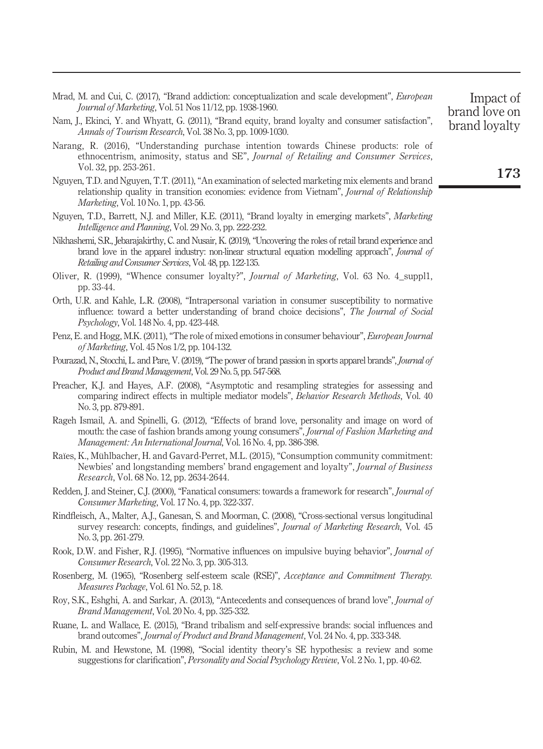<span id="page-21-15"></span>Mrad, M. and Cui, C. (2017), "Brand addiction: conceptualization and scale development", *European* Journal of Marketing, Vol. 51 Nos 11/12, pp. 1938-1960.

- <span id="page-21-8"></span>Nam, J., Ekinci, Y. and Whyatt, G. (2011), "Brand equity, brand loyalty and consumer satisfaction", Annals of Tourism Research, Vol. 38 No. 3, pp. 1009-1030.
- <span id="page-21-10"></span>Narang, R. (2016), "Understanding purchase intention towards Chinese products: role of ethnocentrism, animosity, status and SE", Journal of Retailing and Consumer Services, Vol. 32, pp. 253-261.
- <span id="page-21-14"></span>Nguyen, T.D. and Nguyen, T.T. (2011), "An examination of selected marketing mix elements and brand relationship quality in transition economies: evidence from Vietnam", *Journal of Relationship* Marketing, Vol. 10 No. 1, pp. 43-56.
- <span id="page-21-12"></span>Nguyen, T.D., Barrett, N.J. and Miller, K.E. (2011), "Brand loyalty in emerging markets", *Marketing* Intelligence and Planning, Vol. 29 No. 3, pp. 222-232.
- <span id="page-21-11"></span>Nikhashemi, S.R., Jebarajakirthy, C. and Nusair, K. (2019), "Uncovering the roles of retail brand experience and brand love in the apparel industry: non-linear structural equation modelling approach", Journal of Retailing and Consumer Services, Vol. 48, pp. 122-135.
- <span id="page-21-0"></span>Oliver, R. (1999), "Whence consumer loyalty?", *Journal of Marketing*, Vol. 63 No. 4\_suppl1, pp. 33-44.
- <span id="page-21-4"></span>Orth, U.R. and Kahle, L.R. (2008), "Intrapersonal variation in consumer susceptibility to normative influence: toward a better understanding of brand choice decisions", The Journal of Social Psychology, Vol. 148 No. 4, pp. 423-448.
- <span id="page-21-9"></span>Penz, E. and Hogg, M.K. (2011), "The role of mixed emotions in consumer behaviour", European Journal of Marketing, Vol. 45 Nos 1/2, pp. 104-132.
- <span id="page-21-13"></span>Pourazad, N., Stocchi, L. and Pare, V. (2019), "The power of brand passion in sports apparel brands", *Journal of* Product and Brand Management, Vol. 29 No. 5, pp. 547-568.
- <span id="page-21-17"></span>Preacher, K.J. and Hayes, A.F. (2008), "Asymptotic and resampling strategies for assessing and comparing indirect effects in multiple mediator models", Behavior Research Methods, Vol. 40 No. 3, pp. 879-891.
- <span id="page-21-18"></span>Rageh Ismail, A. and Spinelli, G. (2012), "Effects of brand love, personality and image on word of mouth: the case of fashion brands among young consumers", *Journal of Fashion Marketing and* Management: An International Journal, Vol. 16 No. 4, pp. 386-398.
- <span id="page-21-6"></span>Raïes, K., Mühlbacher, H. and Gavard-Perret, M.L. (2015), "Consumption community commitment: Newbies' and longstanding members' brand engagement and loyalty", Journal of Business Research, Vol. 68 No. 12, pp. 2634-2644.
- <span id="page-21-7"></span>Redden, J. and Steiner, C.J. (2000), "Fanatical consumers: towards a framework for research", *Journal of* Consumer Marketing, Vol. 17 No. 4, pp. 322-337.
- <span id="page-21-19"></span>Rindfleisch, A., Malter, A.J., Ganesan, S. and Moorman, C. (2008), "Cross-sectional versus longitudinal survey research: concepts, findings, and guidelines", *Journal of Marketing Research*, Vol. 45 No. 3, pp. 261-279.
- <span id="page-21-2"></span>Rook, D.W. and Fisher, R.J. (1995), "Normative influences on impulsive buying behavior", *Journal of* Consumer Research, Vol. 22 No. 3, pp. 305-313.
- <span id="page-21-16"></span>Rosenberg, M. (1965), "Rosenberg self-esteem scale (RSE)", Acceptance and Commitment Therapy. Measures Package, Vol. 61 No. 52, p. 18.
- <span id="page-21-1"></span>Roy, S.K., Eshghi, A. and Sarkar, A. (2013), "Antecedents and consequences of brand love", Journal of Brand Management, Vol. 20 No. 4, pp. 325-332.
- <span id="page-21-3"></span>Ruane, L. and Wallace, E. (2015), "Brand tribalism and self-expressive brands: social influences and brand outcomes", Journal of Product and Brand Management, Vol. 24 No. 4, pp. 333-348.
- <span id="page-21-5"></span>Rubin, M. and Hewstone, M. (1998), "Social identity theory's SE hypothesis: a review and some suggestions for clarification", Personality and Social Psychology Review, Vol. 2 No. 1, pp. 40-62.

173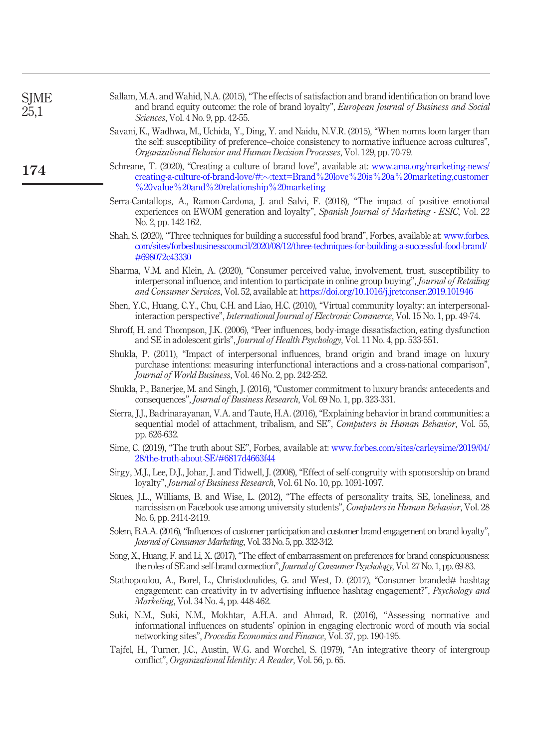<span id="page-22-18"></span><span id="page-22-17"></span><span id="page-22-16"></span><span id="page-22-15"></span><span id="page-22-14"></span><span id="page-22-13"></span><span id="page-22-12"></span><span id="page-22-11"></span><span id="page-22-10"></span><span id="page-22-9"></span><span id="page-22-8"></span><span id="page-22-7"></span><span id="page-22-6"></span><span id="page-22-5"></span><span id="page-22-4"></span><span id="page-22-3"></span><span id="page-22-2"></span><span id="page-22-1"></span><span id="page-22-0"></span>

| <b>SJME</b><br>25,1 | Sallam, M.A. and Wahid, N.A. (2015), "The effects of satisfaction and brand identification on brand love<br>and brand equity outcome: the role of brand loyalty", <i>European Journal of Business and Social</i><br><i>Sciences</i> , Vol. 4 No. 9, pp. 42-55.                                                      |
|---------------------|---------------------------------------------------------------------------------------------------------------------------------------------------------------------------------------------------------------------------------------------------------------------------------------------------------------------|
|                     | Savani, K., Wadhwa, M., Uchida, Y., Ding, Y. and Naidu, N.V.R. (2015), "When norms loom larger than<br>the self: susceptibility of preference–choice consistency to normative influence across cultures",<br>Organizational Behavior and Human Decision Processes, Vol. 129, pp. 70-79.                             |
| 174                 | Schreane, T. (2020), "Creating a culture of brand love", available at: www.ama.org/marketing-news/<br>creating a-culture of brand-love/#:~:text=Brand%20love%20is%20a%20marketing,customer<br>%20value%20and%20relationship%20marketing%                                                                            |
|                     | Serra-Cantallops, A., Ramon-Cardona, J. and Salvi, F. (2018), "The impact of positive emotional<br>experiences on EWOM generation and loyalty", Spanish Journal of Marketing - ESIC, Vol. 22<br>No. 2, pp. 142-162.                                                                                                 |
|                     | Shah, S. (2020), "Three techniques for building a successful food brand", Forbes, available at: www.forbes.<br>com/sites/forbesbusinesscouncil/2020/08/12/three-techniques-for-building-a-successful-food-brand/<br>#698072c43330                                                                                   |
|                     | Sharma, V.M. and Klein, A. (2020), "Consumer perceived value, involvement, trust, susceptibility to<br>interpersonal influence, and intention to participate in online group buying", Journal of Retailing<br><i>and Consumer Services, Vol. 52, available at: https://doi.org/10.1016/j.jretconser.2019.101946</i> |
|                     | Shen, Y.C., Huang, C.Y., Chu, C.H. and Liao, H.C. (2010), "Virtual community loyalty: an interpersonal-<br>interaction perspective", <i>International Journal of Electronic Commerce</i> , Vol. 15 No. 1, pp. 49-74.                                                                                                |
|                     | Shroff, H. and Thompson, J.K. (2006), "Peer influences, body-image dissatisfaction, eating dysfunction<br>and SE in adolescent girls", <i>Journal of Health Psychology</i> , Vol. 11 No. 4, pp. 533-551.                                                                                                            |
|                     | Shukla, P. (2011), "Impact of interpersonal influences, brand origin and brand image on luxury<br>purchase intentions: measuring interfunctional interactions and a cross-national comparison",<br>Journal of World Business, Vol. 46 No. 2, pp. 242-252.                                                           |
|                     | Shukla, P., Banerjee, M. and Singh, J. (2016), "Customer commitment to luxury brands: antecedents and<br>consequences", <i>Journal of Business Research</i> , Vol. 69 No. 1, pp. 323-331.                                                                                                                           |
|                     | Sierra, J.J., Badrinarayanan, V.A. and Taute, H.A. (2016), "Explaining behavior in brand communities: a<br>sequential model of attachment, tribalism, and SE", Computers in Human Behavior, Vol. 55,<br>pp. 626-632.                                                                                                |
|                     | Sime, C. (2019), "The truth about SE", Forbes, available at: www.forbes.com/sites/carleysime/2019/04/<br>28/the-truth-about-SE/#6817d4663f44                                                                                                                                                                        |
|                     | Sirgy, M.J., Lee, D.J., Johar, J. and Tidwell, J. (2008), "Effect of self-congruity with sponsorship on brand<br>loyalty", Journal of Business Research, Vol. 61 No. 10, pp. 1091-1097.                                                                                                                             |
|                     | Skues, J.L., Williams, B. and Wise, L. (2012), "The effects of personality traits, SE, loneliness, and<br>narcissism on Facebook use among university students", Computers in Human Behavior, Vol. 28<br>No. 6, pp. 2414-2419.                                                                                      |
|                     | Solem, B.A.A. (2016), "Influences of customer participation and customer brand engagement on brand loyalty",<br>Journal of Consumer Marketing, Vol. 33 No. 5, pp. 332-342.                                                                                                                                          |
|                     | Song, X., Huang, F. and Li, X. (2017), "The effect of embarrassment on preferences for brand conspicuousness:<br>the roles of SE and self-brand connection", Journal of Consumer Psychology, Vol. 27 No. 1, pp. 69-83.                                                                                              |
|                     | Stathopoulou, A., Borel, L., Christodoulides, G. and West, D. (2017), "Consumer branded# hashtag<br>engagement: can creativity in tv advertising influence hashtag engagement?", Psychology and<br><i>Marketing</i> , Vol. 34 No. 4, pp. 448-462.                                                                   |
|                     | Suki, N.M., Suki, N.M., Mokhtar, A.H.A. and Ahmad, R. (2016), "Assessing normative and<br>informational influences on students' opinion in engaging electronic word of mouth via social<br>networking sites", Procedia Economics and Finance, Vol. 37, pp. 190-195.                                                 |
|                     | Tajfel, H., Turner, J.C., Austin, W.G. and Worchel, S. (1979), "An integrative theory of intergroup<br>conflict", Organizational Identity: A Reader, Vol. 56, p. 65.                                                                                                                                                |
|                     |                                                                                                                                                                                                                                                                                                                     |